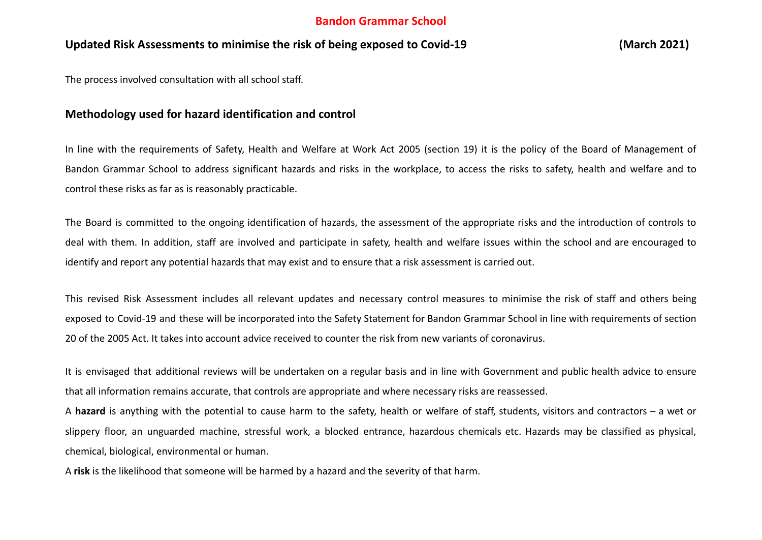### **Bandon Grammar School**

### **Updated Risk Assessments to minimise the risk of being exposed to Covid-19 (March 2021)**

The process involved consultation with all school staff.

#### **Methodology used for hazard identification and control**

In line with the requirements of Safety, Health and Welfare at Work Act 2005 (section 19) it is the policy of the Board of Management of Bandon Grammar School to address significant hazards and risks in the workplace, to access the risks to safety, health and welfare and to control these risks as far as is reasonably practicable.

The Board is committed to the ongoing identification of hazards, the assessment of the appropriate risks and the introduction of controls to deal with them. In addition, staff are involved and participate in safety, health and welfare issues within the school and are encouraged to identify and report any potential hazards that may exist and to ensure that a risk assessment is carried out.

This revised Risk Assessment includes all relevant updates and necessary control measures to minimise the risk of staff and others being exposed to Covid-19 and these will be incorporated into the Safety Statement for Bandon Grammar School in line with requirements of section 20 of the 2005 Act. It takes into account advice received to counter the risk from new variants of coronavirus.

It is envisaged that additional reviews will be undertaken on a regular basis and in line with Government and public health advice to ensure that all information remains accurate, that controls are appropriate and where necessary risks are reassessed.

A **hazard** is anything with the potential to cause harm to the safety, health or welfare of staff, students, visitors and contractors – a wet or slippery floor, an unguarded machine, stressful work, a blocked entrance, hazardous chemicals etc. Hazards may be classified as physical, chemical, biological, environmental or human.

A **risk** is the likelihood that someone will be harmed by a hazard and the severity of that harm.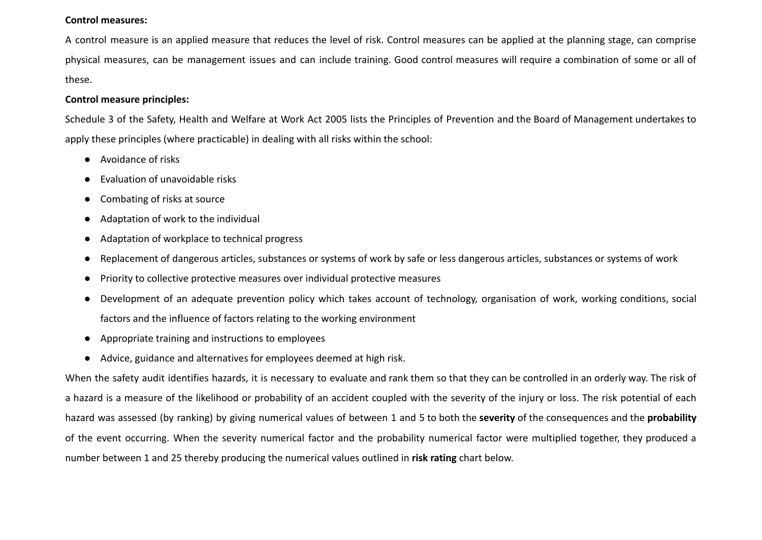#### **Control measures:**

A control measure is an applied measure that reduces the level of risk. Control measures can be applied at the planning stage, can comprise physical measures, can be management issues and can include training. Good control measures will require a combination of some or all of these.

#### **Control measure principles:**

Schedule 3 of the Safety, Health and Welfare at Work Act 2005 lists the Principles of Prevention and the Board of Management undertakes to apply these principles (where practicable) in dealing with all risks within the school:

- Avoidance of risks
- **Evaluation of unavoidable risks**
- Combating of risks at source
- Adaptation of work to the individual
- Adaptation of workplace to technical progress
- Replacement of dangerous articles, substances or systems of work by safe or less dangerous articles, substances or systems of work
- Priority to collective protective measures over individual protective measures
- Development of an adequate prevention policy which takes account of technology, organisation of work, working conditions, social factors and the influence of factors relating to the working environment
- Appropriate training and instructions to employees
- Advice, guidance and alternatives for employees deemed at high risk.

When the safety audit identifies hazards, it is necessary to evaluate and rank them so that they can be controlled in an orderly way. The risk of a hazard is a measure of the likelihood or probability of an accident coupled with the severity of the injury or loss. The risk potential of each hazard was assessed (by ranking) by giving numerical values of between 1 and 5 to both the **severity** of the consequences and the **probability** of the event occurring. When the severity numerical factor and the probability numerical factor were multiplied together, they produced a number between 1 and 25 thereby producing the numerical values outlined in **risk rating** chart below.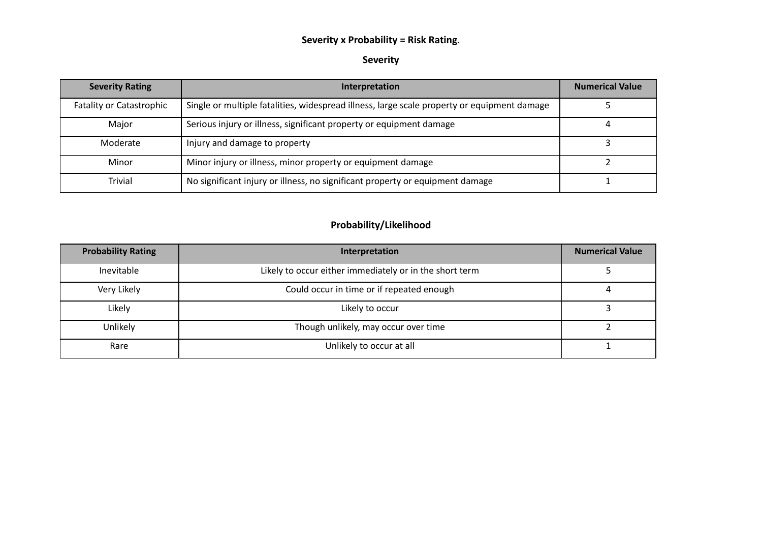## **Severity x Probability = Risk Rating**.

#### **Severity**

| <b>Severity Rating</b>          | Interpretation                                                                              | <b>Numerical Value</b> |
|---------------------------------|---------------------------------------------------------------------------------------------|------------------------|
| <b>Fatality or Catastrophic</b> | Single or multiple fatalities, widespread illness, large scale property or equipment damage |                        |
| Major                           | Serious injury or illness, significant property or equipment damage                         |                        |
| Moderate                        | Injury and damage to property                                                               |                        |
| Minor                           | Minor injury or illness, minor property or equipment damage                                 |                        |
| <b>Trivial</b>                  | No significant injury or illness, no significant property or equipment damage               |                        |

## **Probability/Likelihood**

| <b>Probability Rating</b> | Interpretation                                          | <b>Numerical Value</b> |
|---------------------------|---------------------------------------------------------|------------------------|
| Inevitable                | Likely to occur either immediately or in the short term |                        |
| Very Likely               | Could occur in time or if repeated enough               |                        |
| Likely                    | Likely to occur                                         |                        |
| Unlikely                  | Though unlikely, may occur over time                    |                        |
| Rare                      | Unlikely to occur at all                                |                        |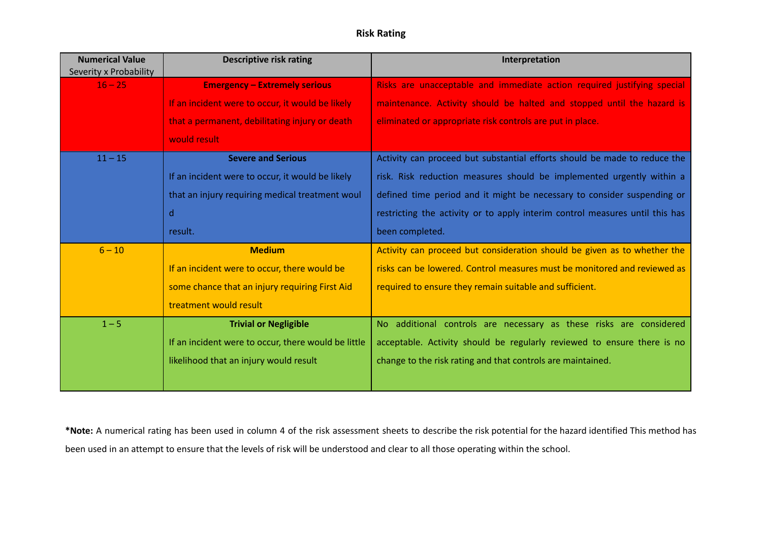### **Risk Rating**

| <b>Numerical Value</b><br>Severity x Probability | <b>Descriptive risk rating</b>                      | Interpretation                                                               |
|--------------------------------------------------|-----------------------------------------------------|------------------------------------------------------------------------------|
| $16 - 25$                                        | <b>Emergency - Extremely serious</b>                | Risks are unacceptable and immediate action required justifying special      |
|                                                  | If an incident were to occur, it would be likely    | maintenance. Activity should be halted and stopped until the hazard is       |
|                                                  | that a permanent, debilitating injury or death      | eliminated or appropriate risk controls are put in place.                    |
|                                                  | would result                                        |                                                                              |
| $11 - 15$                                        | <b>Severe and Serious</b>                           | Activity can proceed but substantial efforts should be made to reduce the    |
|                                                  | If an incident were to occur, it would be likely    | risk. Risk reduction measures should be implemented urgently within a        |
|                                                  | that an injury requiring medical treatment woul     | defined time period and it might be necessary to consider suspending or      |
|                                                  | d                                                   | restricting the activity or to apply interim control measures until this has |
|                                                  | result.                                             | been completed.                                                              |
| $6 - 10$                                         | <b>Medium</b>                                       | Activity can proceed but consideration should be given as to whether the     |
|                                                  | If an incident were to occur, there would be        | risks can be lowered. Control measures must be monitored and reviewed as     |
|                                                  | some chance that an injury requiring First Aid      | required to ensure they remain suitable and sufficient.                      |
|                                                  | treatment would result                              |                                                                              |
| $1 - 5$                                          | <b>Trivial or Negligible</b>                        | No additional controls are necessary as these risks are considered           |
|                                                  | If an incident were to occur, there would be little | acceptable. Activity should be regularly reviewed to ensure there is no      |
|                                                  | likelihood that an injury would result              | change to the risk rating and that controls are maintained.                  |
|                                                  |                                                     |                                                                              |

**\*Note:** A numerical rating has been used in column 4 of the risk assessment sheets to describe the risk potential for the hazard identified This method has been used in an attempt to ensure that the levels of risk will be understood and clear to all those operating within the school.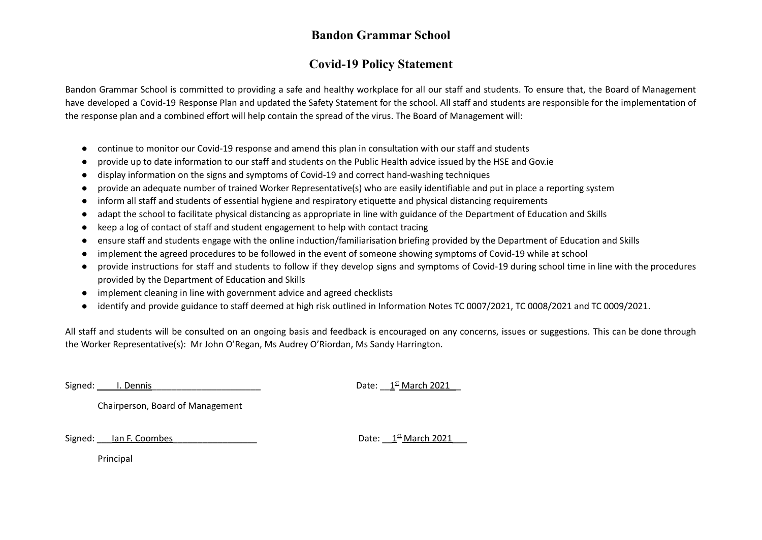## **Bandon Grammar School**

# **Covid-19 Policy Statement**

Bandon Grammar School is committed to providing a safe and healthy workplace for all our staff and students. To ensure that, the Board of Management have developed a Covid-19 Response Plan and updated the Safety Statement for the school. All staff and students are responsible for the implementation of the response plan and a combined effort will help contain the spread of the virus. The Board of Management will:

- continue to monitor our Covid-19 response and amend this plan in consultation with our staff and students
- provide up to date information to our staff and students on the Public Health advice issued by the HSE and Gov.ie
- display information on the signs and symptoms of Covid-19 and correct hand-washing techniques
- provide an adequate number of trained Worker Representative(s) who are easily identifiable and put in place a reporting system
- inform all staff and students of essential hygiene and respiratory etiquette and physical distancing requirements
- adapt the school to facilitate physical distancing as appropriate in line with guidance of the Department of Education and Skills
- keep a log of contact of staff and student engagement to help with contact tracing
- ensure staff and students engage with the online induction/familiarisation briefing provided by the Department of Education and Skills
- implement the agreed procedures to be followed in the event of someone showing symptoms of Covid-19 while at school
- provide instructions for staff and students to follow if they develop signs and symptoms of Covid-19 during school time in line with the procedures provided by the Department of Education and Skills
- implement cleaning in line with government advice and agreed checklists
- identify and provide guidance to staff deemed at high risk outlined in Information Notes TC 0007/2021, TC 0008/2021 and TC 0009/2021.

All staff and students will be consulted on an ongoing basis and feedback is encouraged on any concerns, issues or suggestions. This can be done through the Worker Representative(s): Mr John O'Regan, Ms Audrey O'Riordan, Ms Sandy Harrington.

Signed: L. Dennis

Date:  $1<sup>st</sup>$  March 2021

Chairperson, Board of Management

Signed: lan F. Coombes

Date:  $1<sup>st</sup>$  March 2021

Principal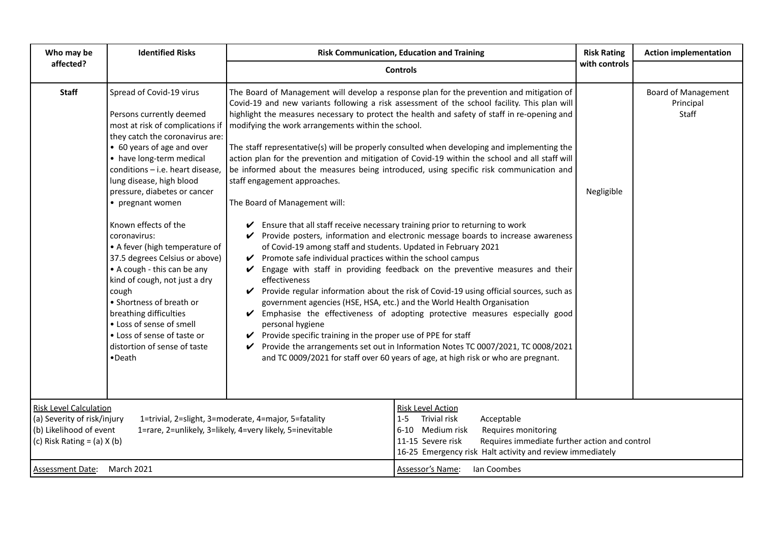| Who may be                                                                                                                 | <b>Identified Risks</b>                                                                                                                                                                                                                                                                                                                                                                                                                                                                                                                                                                                                                                            |                                                                                                                                                                                                                                                                                                                                                                                                                                                                             | <b>Risk Communication, Education and Training</b>                                                                                                                                                                                                                                                                                                                                                                                                                                                                                                                                                                                                                                                                                                                                                                                                                                                                                                                                                                                                                                                                                                                                     | <b>Risk Rating</b> | <b>Action implementation</b>                     |
|----------------------------------------------------------------------------------------------------------------------------|--------------------------------------------------------------------------------------------------------------------------------------------------------------------------------------------------------------------------------------------------------------------------------------------------------------------------------------------------------------------------------------------------------------------------------------------------------------------------------------------------------------------------------------------------------------------------------------------------------------------------------------------------------------------|-----------------------------------------------------------------------------------------------------------------------------------------------------------------------------------------------------------------------------------------------------------------------------------------------------------------------------------------------------------------------------------------------------------------------------------------------------------------------------|---------------------------------------------------------------------------------------------------------------------------------------------------------------------------------------------------------------------------------------------------------------------------------------------------------------------------------------------------------------------------------------------------------------------------------------------------------------------------------------------------------------------------------------------------------------------------------------------------------------------------------------------------------------------------------------------------------------------------------------------------------------------------------------------------------------------------------------------------------------------------------------------------------------------------------------------------------------------------------------------------------------------------------------------------------------------------------------------------------------------------------------------------------------------------------------|--------------------|--------------------------------------------------|
| affected?                                                                                                                  |                                                                                                                                                                                                                                                                                                                                                                                                                                                                                                                                                                                                                                                                    |                                                                                                                                                                                                                                                                                                                                                                                                                                                                             | <b>Controls</b>                                                                                                                                                                                                                                                                                                                                                                                                                                                                                                                                                                                                                                                                                                                                                                                                                                                                                                                                                                                                                                                                                                                                                                       | with controls      |                                                  |
| <b>Staff</b>                                                                                                               | Spread of Covid-19 virus<br>Persons currently deemed<br>most at risk of complications if<br>they catch the coronavirus are:<br>• 60 years of age and over<br>• have long-term medical<br>conditions - i.e. heart disease,<br>lung disease, high blood<br>pressure, diabetes or cancer<br>• pregnant women<br>Known effects of the<br>coronavirus:<br>• A fever (high temperature of<br>37.5 degrees Celsius or above)<br>• A cough - this can be any<br>kind of cough, not just a dry<br>cough<br>• Shortness of breath or<br>breathing difficulties<br>• Loss of sense of smell<br>• Loss of sense of taste or<br>distortion of sense of taste<br>$\bullet$ Death | modifying the work arrangements within the school.<br>staff engagement approaches.<br>The Board of Management will:<br>Ensure that all staff receive necessary training prior to returning to work<br>$\checkmark$<br>of Covid-19 among staff and students. Updated in February 2021<br>Promote safe individual practices within the school campus<br>V<br>V<br>effectiveness<br>V<br>V<br>personal hygiene<br>Provide specific training in the proper use of PPE for staff | The Board of Management will develop a response plan for the prevention and mitigation of<br>Covid-19 and new variants following a risk assessment of the school facility. This plan will<br>highlight the measures necessary to protect the health and safety of staff in re-opening and<br>The staff representative(s) will be properly consulted when developing and implementing the<br>action plan for the prevention and mitigation of Covid-19 within the school and all staff will<br>be informed about the measures being introduced, using specific risk communication and<br>Provide posters, information and electronic message boards to increase awareness<br>Engage with staff in providing feedback on the preventive measures and their<br>Provide regular information about the risk of Covid-19 using official sources, such as<br>government agencies (HSE, HSA, etc.) and the World Health Organisation<br>Emphasise the effectiveness of adopting protective measures especially good<br>Provide the arrangements set out in Information Notes TC 0007/2021, TC 0008/2021<br>and TC 0009/2021 for staff over 60 years of age, at high risk or who are pregnant. | Negligible         | <b>Board of Management</b><br>Principal<br>Staff |
| <b>Risk Level Calculation</b><br>(a) Severity of risk/injury<br>(b) Likelihood of event<br>(c) Risk Rating = $(a)$ X $(b)$ |                                                                                                                                                                                                                                                                                                                                                                                                                                                                                                                                                                                                                                                                    | 1=trivial, 2=slight, 3=moderate, 4=major, 5=fatality<br>1=rare, 2=unlikely, 3=likely, 4=very likely, 5=inevitable                                                                                                                                                                                                                                                                                                                                                           | <b>Risk Level Action</b><br>Trivial risk<br>Acceptable<br>$1 - 5$<br>6-10 Medium risk<br>Requires monitoring<br>Requires immediate further action and control<br>11-15 Severe risk<br>16-25 Emergency risk Halt activity and review immediately                                                                                                                                                                                                                                                                                                                                                                                                                                                                                                                                                                                                                                                                                                                                                                                                                                                                                                                                       |                    |                                                  |
| Assessment Date: March 2021                                                                                                |                                                                                                                                                                                                                                                                                                                                                                                                                                                                                                                                                                                                                                                                    |                                                                                                                                                                                                                                                                                                                                                                                                                                                                             | Assessor's Name:<br>Ian Coombes                                                                                                                                                                                                                                                                                                                                                                                                                                                                                                                                                                                                                                                                                                                                                                                                                                                                                                                                                                                                                                                                                                                                                       |                    |                                                  |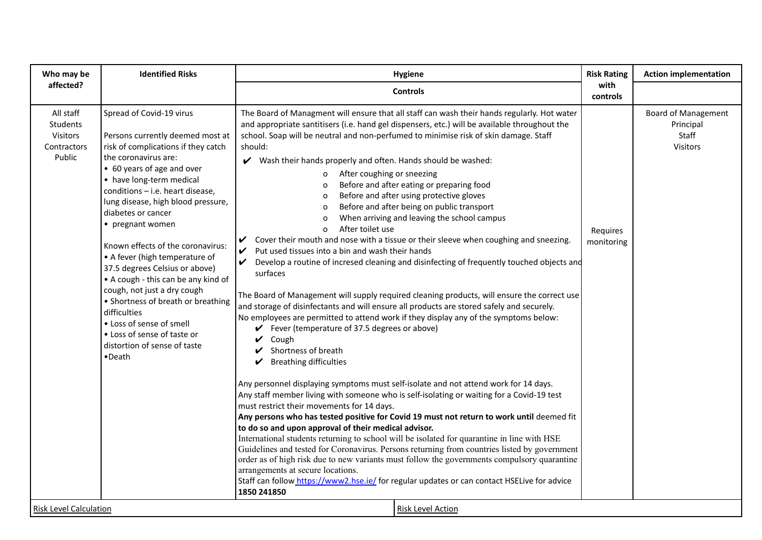| Who may be                                                                                  | <b>Identified Risks</b>                                                                                                                                                                                                                                                                                                                                                                                                                                                                                                                                                                                                                                      | <b>Hygiene</b>                                                                                                                                                                                                                                                                                                                                                                                                                                                                                                                                                                                                                                                                                                                                                                                                                                                                                                                                                                                                                                                                                                                                                                                                                                                                                                                                                                                                                                                                                                                                                                                                                                                                                                                                                                                                                                                                                                                                                                                                                                                                                                                                                                                                                                          | <b>Risk Rating</b>     | <b>Action implementation</b>                                 |
|---------------------------------------------------------------------------------------------|--------------------------------------------------------------------------------------------------------------------------------------------------------------------------------------------------------------------------------------------------------------------------------------------------------------------------------------------------------------------------------------------------------------------------------------------------------------------------------------------------------------------------------------------------------------------------------------------------------------------------------------------------------------|---------------------------------------------------------------------------------------------------------------------------------------------------------------------------------------------------------------------------------------------------------------------------------------------------------------------------------------------------------------------------------------------------------------------------------------------------------------------------------------------------------------------------------------------------------------------------------------------------------------------------------------------------------------------------------------------------------------------------------------------------------------------------------------------------------------------------------------------------------------------------------------------------------------------------------------------------------------------------------------------------------------------------------------------------------------------------------------------------------------------------------------------------------------------------------------------------------------------------------------------------------------------------------------------------------------------------------------------------------------------------------------------------------------------------------------------------------------------------------------------------------------------------------------------------------------------------------------------------------------------------------------------------------------------------------------------------------------------------------------------------------------------------------------------------------------------------------------------------------------------------------------------------------------------------------------------------------------------------------------------------------------------------------------------------------------------------------------------------------------------------------------------------------------------------------------------------------------------------------------------------------|------------------------|--------------------------------------------------------------|
| affected?                                                                                   |                                                                                                                                                                                                                                                                                                                                                                                                                                                                                                                                                                                                                                                              | <b>Controls</b>                                                                                                                                                                                                                                                                                                                                                                                                                                                                                                                                                                                                                                                                                                                                                                                                                                                                                                                                                                                                                                                                                                                                                                                                                                                                                                                                                                                                                                                                                                                                                                                                                                                                                                                                                                                                                                                                                                                                                                                                                                                                                                                                                                                                                                         | with<br>controls       |                                                              |
| All staff<br>Students<br>Visitors<br>Contractors<br>Public<br><b>Risk Level Calculation</b> | Spread of Covid-19 virus<br>Persons currently deemed most at<br>risk of complications if they catch<br>the coronavirus are:<br>• 60 years of age and over<br>• have long-term medical<br>conditions - i.e. heart disease,<br>lung disease, high blood pressure,<br>diabetes or cancer<br>• pregnant women<br>Known effects of the coronavirus:<br>• A fever (high temperature of<br>37.5 degrees Celsius or above)<br>• A cough - this can be any kind of<br>cough, not just a dry cough<br>• Shortness of breath or breathing<br>difficulties<br>• Loss of sense of smell<br>• Loss of sense of taste or<br>distortion of sense of taste<br>$\bullet$ Death | The Board of Managment will ensure that all staff can wash their hands regularly. Hot water<br>and appropriate santitisers (i.e. hand gel dispensers, etc.) will be available throughout the<br>school. Soap will be neutral and non-perfumed to minimise risk of skin damage. Staff<br>should:<br>V Wash their hands properly and often. Hands should be washed:<br>After coughing or sneezing<br>$\mathbf{o}$<br>Before and after eating or preparing food<br>Before and after using protective gloves<br>Before and after being on public transport<br>0<br>When arriving and leaving the school campus<br>$\mathbf 0$<br>After toilet use<br>0<br>Cover their mouth and nose with a tissue or their sleeve when coughing and sneezing.<br>V<br>Put used tissues into a bin and wash their hands<br>V<br>Develop a routine of incresed cleaning and disinfecting of frequently touched objects and<br>V<br>surfaces<br>The Board of Management will supply required cleaning products, will ensure the correct use<br>and storage of disinfectants and will ensure all products are stored safely and securely.<br>No employees are permitted to attend work if they display any of the symptoms below:<br>$\checkmark$ Fever (temperature of 37.5 degrees or above)<br>$\vee$ Cough<br>Shortness of breath<br>V<br><b>Breathing difficulties</b><br>$\boldsymbol{\mathcal{V}}$<br>Any personnel displaying symptoms must self-isolate and not attend work for 14 days.<br>Any staff member living with someone who is self-isolating or waiting for a Covid-19 test<br>must restrict their movements for 14 days.<br>Any persons who has tested positive for Covid 19 must not return to work until deemed fit<br>to do so and upon approval of their medical advisor.<br>International students returning to school will be isolated for quarantine in line with HSE<br>Guidelines and tested for Coronavirus. Persons returning from countries listed by government<br>order as of high risk due to new variants must follow the governments compulsory quarantine<br>arrangements at secure locations.<br>Staff can follow https://www2.hse.ie/ for regular updates or can contact HSELive for advice<br>1850 241850<br><b>Risk Level Action</b> | Requires<br>monitoring | Board of Management<br>Principal<br>Staff<br><b>Visitors</b> |
|                                                                                             |                                                                                                                                                                                                                                                                                                                                                                                                                                                                                                                                                                                                                                                              |                                                                                                                                                                                                                                                                                                                                                                                                                                                                                                                                                                                                                                                                                                                                                                                                                                                                                                                                                                                                                                                                                                                                                                                                                                                                                                                                                                                                                                                                                                                                                                                                                                                                                                                                                                                                                                                                                                                                                                                                                                                                                                                                                                                                                                                         |                        |                                                              |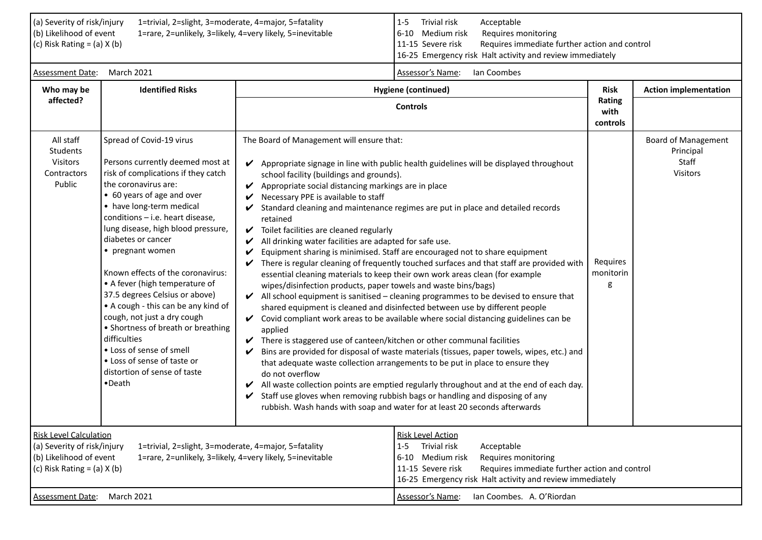| (a) Severity of risk/injury<br>(b) Likelihood of event<br>(c) Risk Rating = $(a)$ X $(b)$                                  | 1=trivial, 2=slight, 3=moderate, 4=major, 5=fatality                                                                                                                                                                                                                                                                                                                                                                                                                                                                                                                                                                                                         | 1=rare, 2=unlikely, 3=likely, 4=very likely, 5=inevitable                                                                                                                                                                                                                                                                                                                                                                                                                                                                                                                                                                                                                                                                                                                                                                                                                                                                                                                                                                                                                                                                                                                                                                                                                                                                                                                                                                                                                                                                                                                                                                                                                                             | Trivial risk<br>Acceptable<br>$1 - 5$<br>6-10 Medium risk<br>Requires monitoring<br>11-15 Severe risk<br>Requires immediate further action and control<br>16-25 Emergency risk Halt activity and review immediately                             |                            |                                                                     |
|----------------------------------------------------------------------------------------------------------------------------|--------------------------------------------------------------------------------------------------------------------------------------------------------------------------------------------------------------------------------------------------------------------------------------------------------------------------------------------------------------------------------------------------------------------------------------------------------------------------------------------------------------------------------------------------------------------------------------------------------------------------------------------------------------|-------------------------------------------------------------------------------------------------------------------------------------------------------------------------------------------------------------------------------------------------------------------------------------------------------------------------------------------------------------------------------------------------------------------------------------------------------------------------------------------------------------------------------------------------------------------------------------------------------------------------------------------------------------------------------------------------------------------------------------------------------------------------------------------------------------------------------------------------------------------------------------------------------------------------------------------------------------------------------------------------------------------------------------------------------------------------------------------------------------------------------------------------------------------------------------------------------------------------------------------------------------------------------------------------------------------------------------------------------------------------------------------------------------------------------------------------------------------------------------------------------------------------------------------------------------------------------------------------------------------------------------------------------------------------------------------------------|-------------------------------------------------------------------------------------------------------------------------------------------------------------------------------------------------------------------------------------------------|----------------------------|---------------------------------------------------------------------|
| Assessment Date:                                                                                                           | <b>March 2021</b>                                                                                                                                                                                                                                                                                                                                                                                                                                                                                                                                                                                                                                            |                                                                                                                                                                                                                                                                                                                                                                                                                                                                                                                                                                                                                                                                                                                                                                                                                                                                                                                                                                                                                                                                                                                                                                                                                                                                                                                                                                                                                                                                                                                                                                                                                                                                                                       | Ian Coombes<br>Assessor's Name:                                                                                                                                                                                                                 |                            |                                                                     |
| Who may be                                                                                                                 | <b>Identified Risks</b>                                                                                                                                                                                                                                                                                                                                                                                                                                                                                                                                                                                                                                      |                                                                                                                                                                                                                                                                                                                                                                                                                                                                                                                                                                                                                                                                                                                                                                                                                                                                                                                                                                                                                                                                                                                                                                                                                                                                                                                                                                                                                                                                                                                                                                                                                                                                                                       | <b>Hygiene (continued)</b>                                                                                                                                                                                                                      | <b>Risk</b>                | <b>Action implementation</b>                                        |
| affected?                                                                                                                  |                                                                                                                                                                                                                                                                                                                                                                                                                                                                                                                                                                                                                                                              |                                                                                                                                                                                                                                                                                                                                                                                                                                                                                                                                                                                                                                                                                                                                                                                                                                                                                                                                                                                                                                                                                                                                                                                                                                                                                                                                                                                                                                                                                                                                                                                                                                                                                                       | <b>Controls</b>                                                                                                                                                                                                                                 | Rating<br>with<br>controls |                                                                     |
| All staff<br>Students<br>Visitors<br>Contractors<br>Public                                                                 | Spread of Covid-19 virus<br>Persons currently deemed most at<br>risk of complications if they catch<br>the coronavirus are:<br>• 60 years of age and over<br>• have long-term medical<br>conditions - i.e. heart disease,<br>lung disease, high blood pressure,<br>diabetes or cancer<br>• pregnant women<br>Known effects of the coronavirus:<br>• A fever (high temperature of<br>37.5 degrees Celsius or above)<br>• A cough - this can be any kind of<br>cough, not just a dry cough<br>• Shortness of breath or breathing<br>difficulties<br>• Loss of sense of smell<br>• Loss of sense of taste or<br>distortion of sense of taste<br>$\bullet$ Death | The Board of Management will ensure that:<br>Appropriate signage in line with public health guidelines will be displayed throughout<br>V<br>school facility (buildings and grounds).<br>Appropriate social distancing markings are in place<br>Necessary PPE is available to staff<br>Standard cleaning and maintenance regimes are put in place and detailed records<br>retained<br>$\checkmark$ Toilet facilities are cleaned regularly<br>All drinking water facilities are adapted for safe use.<br>Equipment sharing is minimised. Staff are encouraged not to share equipment<br>There is regular cleaning of frequently touched surfaces and that staff are provided with<br>essential cleaning materials to keep their own work areas clean (for example<br>wipes/disinfection products, paper towels and waste bins/bags)<br>$\blacktriangleright$ All school equipment is sanitised – cleaning programmes to be devised to ensure that<br>shared equipment is cleaned and disinfected between use by different people<br>$\checkmark$ Covid compliant work areas to be available where social distancing guidelines can be<br>applied<br>There is staggered use of canteen/kitchen or other communal facilities<br>Bins are provided for disposal of waste materials (tissues, paper towels, wipes, etc.) and<br>that adequate waste collection arrangements to be put in place to ensure they<br>do not overflow<br>All waste collection points are emptied regularly throughout and at the end of each day.<br>$\checkmark$<br>Staff use gloves when removing rubbish bags or handling and disposing of any<br>rubbish. Wash hands with soap and water for at least 20 seconds afterwards |                                                                                                                                                                                                                                                 | Requires<br>monitorin<br>g | <b>Board of Management</b><br>Principal<br>Staff<br><b>Visitors</b> |
| <b>Risk Level Calculation</b><br>(a) Severity of risk/injury<br>(b) Likelihood of event<br>(c) Risk Rating = $(a)$ X $(b)$ | 1=trivial, 2=slight, 3=moderate, 4=major, 5=fatality                                                                                                                                                                                                                                                                                                                                                                                                                                                                                                                                                                                                         | 1=rare, 2=unlikely, 3=likely, 4=very likely, 5=inevitable                                                                                                                                                                                                                                                                                                                                                                                                                                                                                                                                                                                                                                                                                                                                                                                                                                                                                                                                                                                                                                                                                                                                                                                                                                                                                                                                                                                                                                                                                                                                                                                                                                             | <b>Risk Level Action</b><br>Trivial risk<br>$1 - 5$<br>Acceptable<br>6-10 Medium risk<br>Requires monitoring<br>11-15 Severe risk<br>Requires immediate further action and control<br>16-25 Emergency risk Halt activity and review immediately |                            |                                                                     |
| March 2021<br><b>Assessment Date:</b>                                                                                      |                                                                                                                                                                                                                                                                                                                                                                                                                                                                                                                                                                                                                                                              | Ian Coombes. A. O'Riordan<br>Assessor's Name:                                                                                                                                                                                                                                                                                                                                                                                                                                                                                                                                                                                                                                                                                                                                                                                                                                                                                                                                                                                                                                                                                                                                                                                                                                                                                                                                                                                                                                                                                                                                                                                                                                                         |                                                                                                                                                                                                                                                 |                            |                                                                     |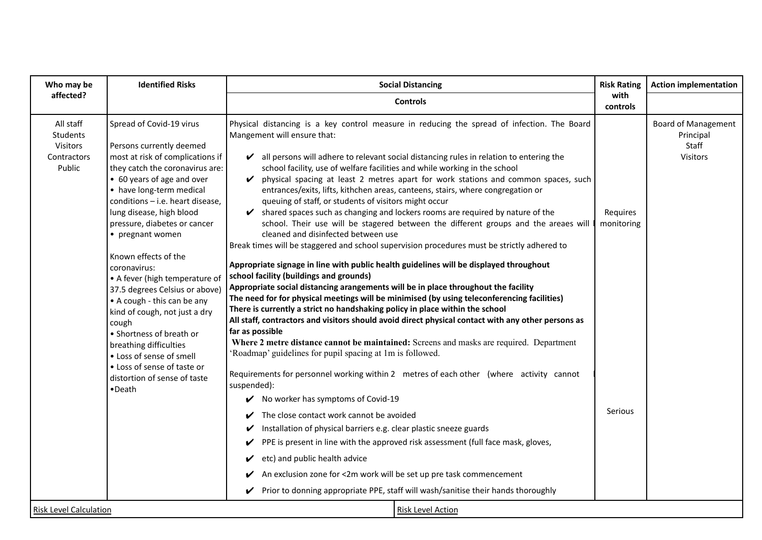| Who may be                                                        | <b>Identified Risks</b>                                                                                                                                                                                                                                                                                                                                                                                               | <b>Social Distancing</b>                                                                                                                                                                                                                                                                                                                                                                                                                                                                                                                                                                                                                                                                                                                                                                                                                                                                                                                                                                                                                                                                                   | <b>Risk Rating</b>     | <b>Action implementation</b>                                 |
|-------------------------------------------------------------------|-----------------------------------------------------------------------------------------------------------------------------------------------------------------------------------------------------------------------------------------------------------------------------------------------------------------------------------------------------------------------------------------------------------------------|------------------------------------------------------------------------------------------------------------------------------------------------------------------------------------------------------------------------------------------------------------------------------------------------------------------------------------------------------------------------------------------------------------------------------------------------------------------------------------------------------------------------------------------------------------------------------------------------------------------------------------------------------------------------------------------------------------------------------------------------------------------------------------------------------------------------------------------------------------------------------------------------------------------------------------------------------------------------------------------------------------------------------------------------------------------------------------------------------------|------------------------|--------------------------------------------------------------|
| affected?                                                         |                                                                                                                                                                                                                                                                                                                                                                                                                       | <b>Controls</b>                                                                                                                                                                                                                                                                                                                                                                                                                                                                                                                                                                                                                                                                                                                                                                                                                                                                                                                                                                                                                                                                                            | with<br>controls       |                                                              |
| All staff<br>Students<br><b>Visitors</b><br>Contractors<br>Public | Spread of Covid-19 virus<br>Persons currently deemed<br>most at risk of complications if<br>they catch the coronavirus are:<br>• 60 years of age and over<br>• have long-term medical<br>conditions - i.e. heart disease,<br>lung disease, high blood<br>pressure, diabetes or cancer<br>• pregnant women<br>Known effects of the<br>coronavirus:<br>• A fever (high temperature of<br>37.5 degrees Celsius or above) | Physical distancing is a key control measure in reducing the spread of infection. The Board<br>Mangement will ensure that:<br>$\triangleright$ all persons will adhere to relevant social distancing rules in relation to entering the<br>school facility, use of welfare facilities and while working in the school<br>physical spacing at least 2 metres apart for work stations and common spaces, such<br>V<br>entrances/exits, lifts, kithchen areas, canteens, stairs, where congregation or<br>queuing of staff, or students of visitors might occur<br>shared spaces such as changing and lockers rooms are required by nature of the<br>V<br>school. Their use will be stagered between the different groups and the areaes will<br>cleaned and disinfected between use<br>Break times will be staggered and school supervision procedures must be strictly adhered to<br>Appropriate signage in line with public health guidelines will be displayed throughout<br>school facility (buildings and grounds)<br>Appropriate social distancing arangements will be in place throughout the facility | Requires<br>monitoring | <b>Board of Management</b><br>Principal<br>Staff<br>Visitors |
| <b>Risk Level Calculation</b>                                     | • A cough - this can be any<br>kind of cough, not just a dry<br>cough<br>• Shortness of breath or<br>breathing difficulties<br>• Loss of sense of smell<br>• Loss of sense of taste or<br>distortion of sense of taste<br>•Death                                                                                                                                                                                      | The need for for physical meetings will be minimised (by using teleconferencing facilities)<br>There is currently a strict no handshaking policy in place within the school<br>All staff, contractors and visitors should avoid direct physical contact with any other persons as<br>far as possible<br>Where 2 metre distance cannot be maintained: Screens and masks are required. Department<br>Roadmap' guidelines for pupil spacing at 1m is followed.<br>Requirements for personnel working within 2 metres of each other (where activity cannot<br>suspended):<br>No worker has symptoms of Covid-19<br>V<br>The close contact work cannot be avoided<br>Installation of physical barriers e.g. clear plastic sneeze guards<br>V<br>PPE is present in line with the approved risk assessment (full face mask, gloves,<br>V<br>etc) and public health advice<br>An exclusion zone for <2m work will be set up pre task commencement<br>Prior to donning appropriate PPE, staff will wash/sanitise their hands thoroughly<br>V<br>Risk Level Action                                                   | Serious                |                                                              |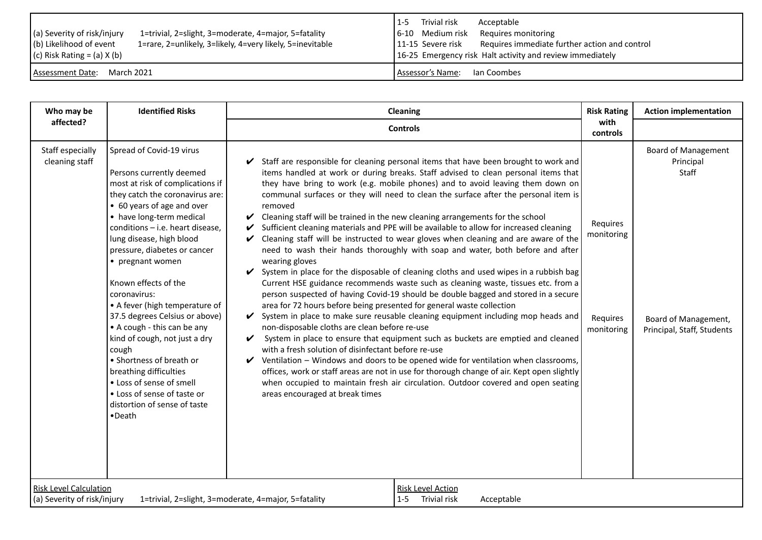| (a) Severity of risk/injury<br>1=trivial, 2=slight, 3=moderate, 4=major, 5=fatality | Trivial risk<br>Acceptable<br>$1 - 5$<br>6-10 Medium risk<br>Requires monitoring |
|-------------------------------------------------------------------------------------|----------------------------------------------------------------------------------|
| (b) Likelihood of event                                                             | Requires immediate further action and control                                    |
| 1=rare, 2=unlikely, 3=likely, 4=very likely, 5=inevitable                           | 11-15 Severe risk                                                                |
| (c) Risk Rating = (a) $X$ (b)                                                       | 16-25 Emergency risk Halt activity and review immediately                        |
| March 2021                                                                          | Assessor's Name:                                                                 |
| Assessment Date:                                                                    | Ian Coombes                                                                      |

| Who may be                                                   | <b>Identified Risks</b>                                                                                                                                                                                                                                                                                                                                                                                                                                                                                                                                                                                                                                   | Cleaning                                                                                                                                                                                                                                                                                                                                                                                                                                                                                                                                                                                                                                                                                                                                                                                                                                                                                                                                                                                                                                                                                                                                                                                                                                                                                                                                                                                                                                                                                                                                                                                                                                                                                                                      | <b>Risk Rating</b>                               | <b>Action implementation</b>                                                                           |
|--------------------------------------------------------------|-----------------------------------------------------------------------------------------------------------------------------------------------------------------------------------------------------------------------------------------------------------------------------------------------------------------------------------------------------------------------------------------------------------------------------------------------------------------------------------------------------------------------------------------------------------------------------------------------------------------------------------------------------------|-------------------------------------------------------------------------------------------------------------------------------------------------------------------------------------------------------------------------------------------------------------------------------------------------------------------------------------------------------------------------------------------------------------------------------------------------------------------------------------------------------------------------------------------------------------------------------------------------------------------------------------------------------------------------------------------------------------------------------------------------------------------------------------------------------------------------------------------------------------------------------------------------------------------------------------------------------------------------------------------------------------------------------------------------------------------------------------------------------------------------------------------------------------------------------------------------------------------------------------------------------------------------------------------------------------------------------------------------------------------------------------------------------------------------------------------------------------------------------------------------------------------------------------------------------------------------------------------------------------------------------------------------------------------------------------------------------------------------------|--------------------------------------------------|--------------------------------------------------------------------------------------------------------|
| affected?                                                    |                                                                                                                                                                                                                                                                                                                                                                                                                                                                                                                                                                                                                                                           | <b>Controls</b>                                                                                                                                                                                                                                                                                                                                                                                                                                                                                                                                                                                                                                                                                                                                                                                                                                                                                                                                                                                                                                                                                                                                                                                                                                                                                                                                                                                                                                                                                                                                                                                                                                                                                                               | with<br>controls                                 |                                                                                                        |
| Staff especially<br>cleaning staff                           | Spread of Covid-19 virus<br>Persons currently deemed<br>most at risk of complications if<br>they catch the coronavirus are:<br>• 60 years of age and over<br>• have long-term medical<br>conditions - i.e. heart disease,<br>lung disease, high blood<br>pressure, diabetes or cancer<br>• pregnant women<br>Known effects of the<br>coronavirus:<br>• A fever (high temperature of<br>37.5 degrees Celsius or above)<br>• A cough - this can be any<br>kind of cough, not just a dry<br>cough<br>• Shortness of breath or<br>breathing difficulties<br>• Loss of sense of smell<br>• Loss of sense of taste or<br>distortion of sense of taste<br>•Death | Staff are responsible for cleaning personal items that have been brought to work and<br>items handled at work or during breaks. Staff advised to clean personal items that<br>they have bring to work (e.g. mobile phones) and to avoid leaving them down on<br>communal surfaces or they will need to clean the surface after the personal item is<br>removed<br>Cleaning staff will be trained in the new cleaning arrangements for the school<br>V<br>Sufficient cleaning materials and PPE will be available to allow for increased cleaning<br>V<br>Cleaning staff will be instructed to wear gloves when cleaning and are aware of the<br>$\checkmark$<br>need to wash their hands thoroughly with soap and water, both before and after<br>wearing gloves<br>System in place for the disposable of cleaning cloths and used wipes in a rubbish bag<br>V<br>Current HSE guidance recommends waste such as cleaning waste, tissues etc. from a<br>person suspected of having Covid-19 should be double bagged and stored in a secure<br>area for 72 hours before being presented for general waste collection<br>System in place to make sure reusable cleaning equipment including mop heads and<br>V<br>non-disposable cloths are clean before re-use<br>System in place to ensure that equipment such as buckets are emptied and cleaned<br>V<br>with a fresh solution of disinfectant before re-use<br>Ventilation - Windows and doors to be opened wide for ventilation when classrooms,<br>V<br>offices, work or staff areas are not in use for thorough change of air. Kept open slightly<br>when occupied to maintain fresh air circulation. Outdoor covered and open seating<br>areas encouraged at break times | Requires<br>monitoring<br>Requires<br>monitoring | <b>Board of Management</b><br>Principal<br>Staff<br>Board of Management,<br>Principal, Staff, Students |
| <b>Risk Level Calculation</b><br>(a) Severity of risk/injury |                                                                                                                                                                                                                                                                                                                                                                                                                                                                                                                                                                                                                                                           | <b>Risk Level Action</b><br>Trivial risk<br>1=trivial, 2=slight, 3=moderate, 4=major, 5=fatality<br>Acceptable<br>$1 - 5$                                                                                                                                                                                                                                                                                                                                                                                                                                                                                                                                                                                                                                                                                                                                                                                                                                                                                                                                                                                                                                                                                                                                                                                                                                                                                                                                                                                                                                                                                                                                                                                                     |                                                  |                                                                                                        |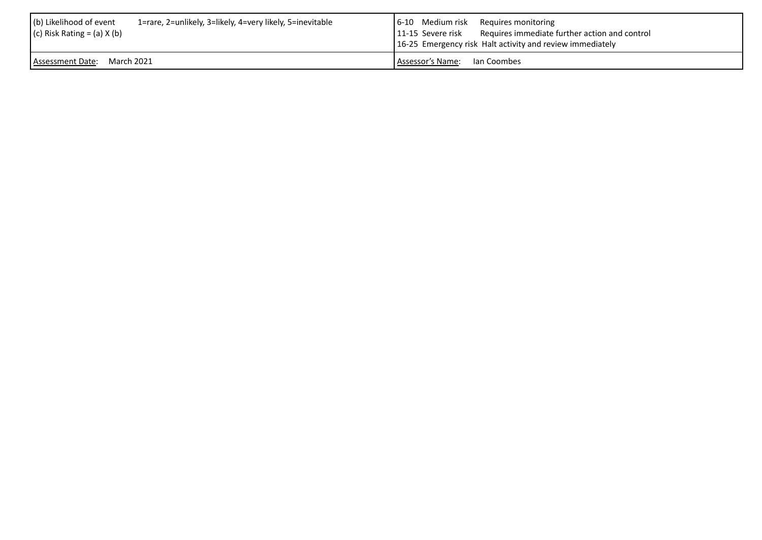| (b) Likelihood of event                                   | [6-10 Medium risk Requires monitoring                           |
|-----------------------------------------------------------|-----------------------------------------------------------------|
| 1=rare, 2=unlikely, 3=likely, 4=very likely, 5=inevitable | 11-15 Severe risk Requires immediate further action and control |
| $(c)$ Risk Rating = (a) X (b)                             | 16-25 Emergency risk Halt activity and review immediately       |
| Assessment Date: March 2021                               | LAssessor's Name: Lan Coombes                                   |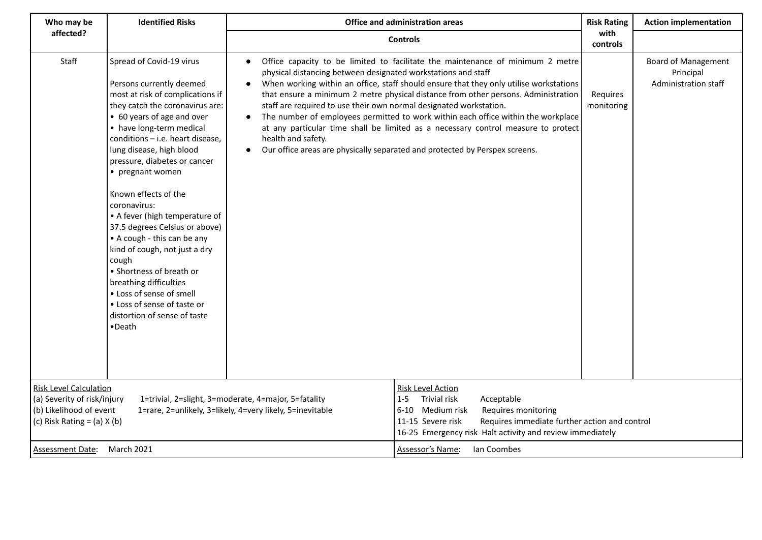| Who may be                                                                                                                 | <b>Identified Risks</b>                                                                                                                                                                                                                                                                                                                                                                                                                                                                                                                                                                                                                                   | Office and administration areas                                                                                                                                                     |                                                                                                                                                                                                                                                                                                                                                                                                                                                                                                                         | <b>Risk Rating</b><br><b>Action implementation</b> |                                                                 |
|----------------------------------------------------------------------------------------------------------------------------|-----------------------------------------------------------------------------------------------------------------------------------------------------------------------------------------------------------------------------------------------------------------------------------------------------------------------------------------------------------------------------------------------------------------------------------------------------------------------------------------------------------------------------------------------------------------------------------------------------------------------------------------------------------|-------------------------------------------------------------------------------------------------------------------------------------------------------------------------------------|-------------------------------------------------------------------------------------------------------------------------------------------------------------------------------------------------------------------------------------------------------------------------------------------------------------------------------------------------------------------------------------------------------------------------------------------------------------------------------------------------------------------------|----------------------------------------------------|-----------------------------------------------------------------|
| affected?                                                                                                                  |                                                                                                                                                                                                                                                                                                                                                                                                                                                                                                                                                                                                                                                           |                                                                                                                                                                                     | <b>Controls</b>                                                                                                                                                                                                                                                                                                                                                                                                                                                                                                         | with<br>controls                                   |                                                                 |
| Staff                                                                                                                      | Spread of Covid-19 virus<br>Persons currently deemed<br>most at risk of complications if<br>they catch the coronavirus are:<br>• 60 years of age and over<br>• have long-term medical<br>conditions - i.e. heart disease,<br>lung disease, high blood<br>pressure, diabetes or cancer<br>• pregnant women<br>Known effects of the<br>coronavirus:<br>• A fever (high temperature of<br>37.5 degrees Celsius or above)<br>• A cough - this can be any<br>kind of cough, not just a dry<br>cough<br>• Shortness of breath or<br>breathing difficulties<br>• Loss of sense of smell<br>• Loss of sense of taste or<br>distortion of sense of taste<br>•Death | physical distancing between designated workstations and staff<br>staff are required to use their own normal designated workstation.<br>$\bullet$<br>health and safety.<br>$\bullet$ | Office capacity to be limited to facilitate the maintenance of minimum 2 metre<br>When working within an office, staff should ensure that they only utilise workstations<br>that ensure a minimum 2 metre physical distance from other persons. Administration<br>The number of employees permitted to work within each office within the workplace<br>at any particular time shall be limited as a necessary control measure to protect<br>Our office areas are physically separated and protected by Perspex screens. | Requires<br>monitoring                             | <b>Board of Management</b><br>Principal<br>Administration staff |
| <b>Risk Level Calculation</b><br>(a) Severity of risk/injury<br>(b) Likelihood of event<br>(c) Risk Rating = $(a)$ X $(b)$ |                                                                                                                                                                                                                                                                                                                                                                                                                                                                                                                                                                                                                                                           | 1=trivial, 2=slight, 3=moderate, 4=major, 5=fatality<br>1=rare, 2=unlikely, 3=likely, 4=very likely, 5=inevitable                                                                   | <b>Risk Level Action</b><br><b>Trivial risk</b><br>Acceptable<br>$1 - 5$<br>$6 - 10$<br>Medium risk<br>Requires monitoring<br>11-15 Severe risk<br>Requires immediate further action and control<br>16-25 Emergency risk Halt activity and review immediately                                                                                                                                                                                                                                                           |                                                    |                                                                 |
| <b>Assessment Date:</b>                                                                                                    | March 2021                                                                                                                                                                                                                                                                                                                                                                                                                                                                                                                                                                                                                                                |                                                                                                                                                                                     | Assessor's Name:<br>Ian Coombes                                                                                                                                                                                                                                                                                                                                                                                                                                                                                         |                                                    |                                                                 |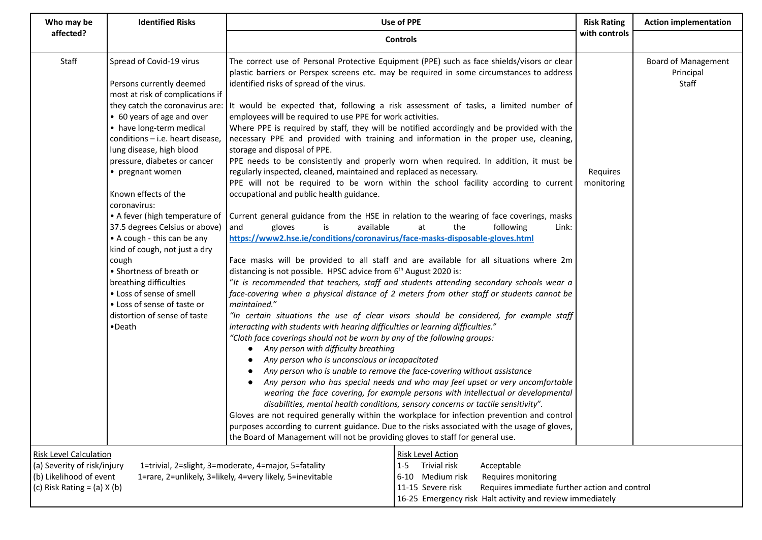| <b>Identified Risks</b><br>Who may be                                                                                      |                                                                                                                                                                                                                                                                                                                                                                                                                                                                                                                                                                                                                                                           | <b>Use of PPE</b>                                                                                                                                                                                                                                                                                                                                                                                                                                                                                                                                                                                                                                                                                                                                                                                                                                                                                                                                                                                                                                                                                                                                                                                                                                                                                                                                                                                                                                                                                                                                                                                                                                                                                                                                                                                                                                                                                                                                                                                                                                                                                                                                                                                                                                                                                                                                                                                                                                                                                                                                 | <b>Risk Rating</b>     | <b>Action implementation</b>                     |
|----------------------------------------------------------------------------------------------------------------------------|-----------------------------------------------------------------------------------------------------------------------------------------------------------------------------------------------------------------------------------------------------------------------------------------------------------------------------------------------------------------------------------------------------------------------------------------------------------------------------------------------------------------------------------------------------------------------------------------------------------------------------------------------------------|---------------------------------------------------------------------------------------------------------------------------------------------------------------------------------------------------------------------------------------------------------------------------------------------------------------------------------------------------------------------------------------------------------------------------------------------------------------------------------------------------------------------------------------------------------------------------------------------------------------------------------------------------------------------------------------------------------------------------------------------------------------------------------------------------------------------------------------------------------------------------------------------------------------------------------------------------------------------------------------------------------------------------------------------------------------------------------------------------------------------------------------------------------------------------------------------------------------------------------------------------------------------------------------------------------------------------------------------------------------------------------------------------------------------------------------------------------------------------------------------------------------------------------------------------------------------------------------------------------------------------------------------------------------------------------------------------------------------------------------------------------------------------------------------------------------------------------------------------------------------------------------------------------------------------------------------------------------------------------------------------------------------------------------------------------------------------------------------------------------------------------------------------------------------------------------------------------------------------------------------------------------------------------------------------------------------------------------------------------------------------------------------------------------------------------------------------------------------------------------------------------------------------------------------------|------------------------|--------------------------------------------------|
| affected?                                                                                                                  |                                                                                                                                                                                                                                                                                                                                                                                                                                                                                                                                                                                                                                                           | <b>Controls</b>                                                                                                                                                                                                                                                                                                                                                                                                                                                                                                                                                                                                                                                                                                                                                                                                                                                                                                                                                                                                                                                                                                                                                                                                                                                                                                                                                                                                                                                                                                                                                                                                                                                                                                                                                                                                                                                                                                                                                                                                                                                                                                                                                                                                                                                                                                                                                                                                                                                                                                                                   | with controls          |                                                  |
| Staff                                                                                                                      | Spread of Covid-19 virus<br>Persons currently deemed<br>most at risk of complications if<br>they catch the coronavirus are:<br>• 60 years of age and over<br>• have long-term medical<br>conditions - i.e. heart disease,<br>lung disease, high blood<br>pressure, diabetes or cancer<br>• pregnant women<br>Known effects of the<br>coronavirus:<br>• A fever (high temperature of<br>37.5 degrees Celsius or above)<br>• A cough - this can be any<br>kind of cough, not just a dry<br>cough<br>• Shortness of breath or<br>breathing difficulties<br>• Loss of sense of smell<br>• Loss of sense of taste or<br>distortion of sense of taste<br>•Death | The correct use of Personal Protective Equipment (PPE) such as face shields/visors or clear<br>plastic barriers or Perspex screens etc. may be required in some circumstances to address<br>identified risks of spread of the virus.<br>It would be expected that, following a risk assessment of tasks, a limited number of<br>employees will be required to use PPE for work activities.<br>Where PPE is required by staff, they will be notified accordingly and be provided with the<br>necessary PPE and provided with training and information in the proper use, cleaning,<br>storage and disposal of PPE.<br>PPE needs to be consistently and properly worn when required. In addition, it must be<br>regularly inspected, cleaned, maintained and replaced as necessary.<br>PPE will not be required to be worn within the school facility according to current<br>occupational and public health guidance.<br>Current general guidance from the HSE in relation to the wearing of face coverings, masks<br>available<br>gloves<br>the<br>and<br>is<br>at<br>following<br>Link:<br>https://www2.hse.ie/conditions/coronavirus/face-masks-disposable-gloves.html<br>Face masks will be provided to all staff and are available for all situations where 2m<br>distancing is not possible. HPSC advice from 6 <sup>th</sup> August 2020 is:<br>"It is recommended that teachers, staff and students attending secondary schools wear a<br>face-covering when a physical distance of 2 meters from other staff or students cannot be<br>maintained."<br>"In certain situations the use of clear visors should be considered, for example staff<br>interacting with students with hearing difficulties or learning difficulties."<br>"Cloth face coverings should not be worn by any of the following groups:<br>Any person with difficulty breathing<br>$\bullet$<br>Any person who is unconscious or incapacitated<br>Any person who is unable to remove the face-covering without assistance<br>Any person who has special needs and who may feel upset or very uncomfortable<br>wearing the face covering, for example persons with intellectual or developmental<br>disabilities, mental health conditions, sensory concerns or tactile sensitivity".<br>Gloves are not required generally within the workplace for infection prevention and control<br>purposes according to current guidance. Due to the risks associated with the usage of gloves,<br>the Board of Management will not be providing gloves to staff for general use. | Requires<br>monitoring | <b>Board of Management</b><br>Principal<br>Staff |
| <b>Risk Level Calculation</b><br>(a) Severity of risk/injury<br>(b) Likelihood of event<br>(c) Risk Rating = $(a)$ X $(b)$ |                                                                                                                                                                                                                                                                                                                                                                                                                                                                                                                                                                                                                                                           | <b>Risk Level Action</b><br>1=trivial, 2=slight, 3=moderate, 4=major, 5=fatality<br>Trivial risk<br>Acceptable<br>$1 - 5$<br>1=rare, 2=unlikely, 3=likely, 4=very likely, 5=inevitable<br>Medium risk<br>Requires monitoring<br>$6 - 10$<br>11-15 Severe risk<br>Requires immediate further action and control<br>16-25 Emergency risk Halt activity and review immediately                                                                                                                                                                                                                                                                                                                                                                                                                                                                                                                                                                                                                                                                                                                                                                                                                                                                                                                                                                                                                                                                                                                                                                                                                                                                                                                                                                                                                                                                                                                                                                                                                                                                                                                                                                                                                                                                                                                                                                                                                                                                                                                                                                       |                        |                                                  |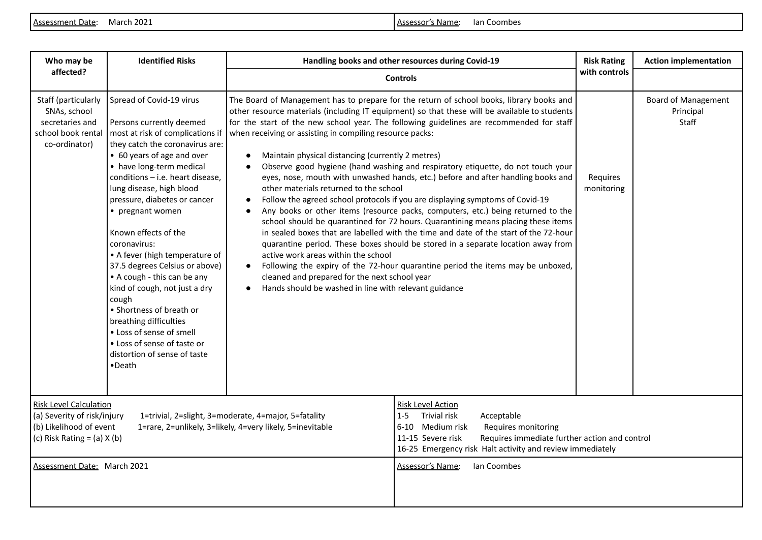Assessment Date: March 2021 Material Composition of the Material Assessor's Name: Ian Coombes

| Who may be                                                                                                                                                                                                                                      | <b>Identified Risks</b>                                                                                                                                                                                                                                                                                                                                                                                                                                                                                                                                                                                                                                   | Handling books and other resources during Covid-19                                                                                                                                                                                                                                                                                              |                                                                                                                                                                                                                                                                                                                                                                                                                                                                                                                                                                                                                                                                                                                                                                                                                                                                                                                                                                                       |                        | <b>Action implementation</b>                     |
|-------------------------------------------------------------------------------------------------------------------------------------------------------------------------------------------------------------------------------------------------|-----------------------------------------------------------------------------------------------------------------------------------------------------------------------------------------------------------------------------------------------------------------------------------------------------------------------------------------------------------------------------------------------------------------------------------------------------------------------------------------------------------------------------------------------------------------------------------------------------------------------------------------------------------|-------------------------------------------------------------------------------------------------------------------------------------------------------------------------------------------------------------------------------------------------------------------------------------------------------------------------------------------------|---------------------------------------------------------------------------------------------------------------------------------------------------------------------------------------------------------------------------------------------------------------------------------------------------------------------------------------------------------------------------------------------------------------------------------------------------------------------------------------------------------------------------------------------------------------------------------------------------------------------------------------------------------------------------------------------------------------------------------------------------------------------------------------------------------------------------------------------------------------------------------------------------------------------------------------------------------------------------------------|------------------------|--------------------------------------------------|
| affected?                                                                                                                                                                                                                                       |                                                                                                                                                                                                                                                                                                                                                                                                                                                                                                                                                                                                                                                           | <b>Controls</b>                                                                                                                                                                                                                                                                                                                                 | with controls                                                                                                                                                                                                                                                                                                                                                                                                                                                                                                                                                                                                                                                                                                                                                                                                                                                                                                                                                                         |                        |                                                  |
| Staff (particularly<br>SNAs, school<br>secretaries and<br>school book rental<br>co-ordinator)                                                                                                                                                   | Spread of Covid-19 virus<br>Persons currently deemed<br>most at risk of complications if<br>they catch the coronavirus are:<br>• 60 years of age and over<br>• have long-term medical<br>conditions - i.e. heart disease,<br>lung disease, high blood<br>pressure, diabetes or cancer<br>• pregnant women<br>Known effects of the<br>coronavirus:<br>• A fever (high temperature of<br>37.5 degrees Celsius or above)<br>• A cough - this can be any<br>kind of cough, not just a dry<br>cough<br>• Shortness of breath or<br>breathing difficulties<br>• Loss of sense of smell<br>• Loss of sense of taste or<br>distortion of sense of taste<br>•Death | when receiving or assisting in compiling resource packs:<br>Maintain physical distancing (currently 2 metres)<br>$\bullet$<br>other materials returned to the school<br>active work areas within the school<br>$\bullet$<br>cleaned and prepared for the next school year<br>Hands should be washed in line with relevant guidance<br>$\bullet$ | The Board of Management has to prepare for the return of school books, library books and<br>other resource materials (including IT equipment) so that these will be available to students<br>for the start of the new school year. The following guidelines are recommended for staff<br>Observe good hygiene (hand washing and respiratory etiquette, do not touch your<br>eyes, nose, mouth with unwashed hands, etc.) before and after handling books and<br>Follow the agreed school protocols if you are displaying symptoms of Covid-19<br>Any books or other items (resource packs, computers, etc.) being returned to the<br>school should be quarantined for 72 hours. Quarantining means placing these items<br>in sealed boxes that are labelled with the time and date of the start of the 72-hour<br>quarantine period. These boxes should be stored in a separate location away from<br>Following the expiry of the 72-hour quarantine period the items may be unboxed, | Requires<br>monitoring | <b>Board of Management</b><br>Principal<br>Staff |
| <b>Risk Level Calculation</b><br>(a) Severity of risk/injury<br>1=trivial, 2=slight, 3=moderate, 4=major, 5=fatality<br>(b) Likelihood of event<br>1=rare, 2=unlikely, 3=likely, 4=very likely, 5=inevitable<br>(c) Risk Rating = $(a)$ X $(b)$ |                                                                                                                                                                                                                                                                                                                                                                                                                                                                                                                                                                                                                                                           | <b>Risk Level Action</b><br><b>Trivial risk</b><br>$1 - 5$<br>Acceptable<br>6-10 Medium risk<br>Requires monitoring<br>Requires immediate further action and control<br>11-15 Severe risk<br>16-25 Emergency risk Halt activity and review immediately                                                                                          |                                                                                                                                                                                                                                                                                                                                                                                                                                                                                                                                                                                                                                                                                                                                                                                                                                                                                                                                                                                       |                        |                                                  |
| Assessment Date: March 2021                                                                                                                                                                                                                     |                                                                                                                                                                                                                                                                                                                                                                                                                                                                                                                                                                                                                                                           |                                                                                                                                                                                                                                                                                                                                                 | Assessor's Name:<br><b>Ian Coombes</b>                                                                                                                                                                                                                                                                                                                                                                                                                                                                                                                                                                                                                                                                                                                                                                                                                                                                                                                                                |                        |                                                  |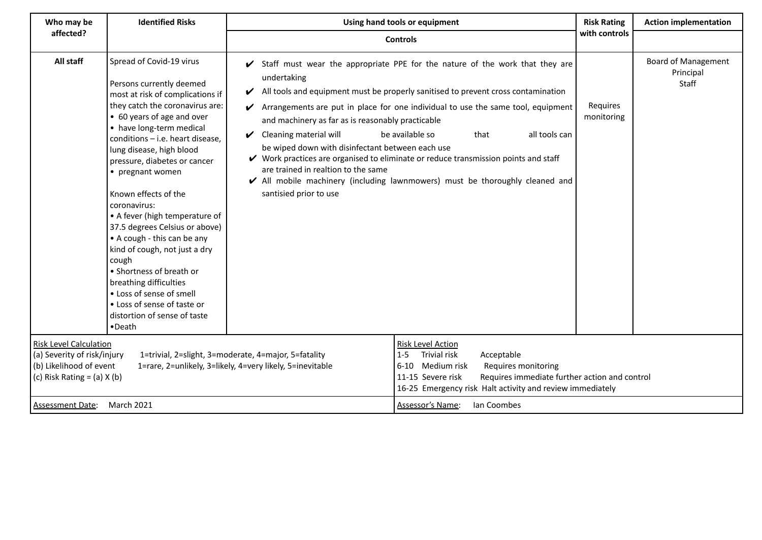| Who may be                                                                                                                                                                                                                                      | <b>Identified Risks</b><br>Using hand tools or equipment                                                                                                                                                                                                                                                                                                                                                                                                                                                                                                                                                                                                           |                                                                                                                                                                                                                                                 | <b>Risk Rating</b>                                                                                                                                                                                                                                                                                                                                                                                                                                                       | <b>Action implementation</b> |                                                  |
|-------------------------------------------------------------------------------------------------------------------------------------------------------------------------------------------------------------------------------------------------|--------------------------------------------------------------------------------------------------------------------------------------------------------------------------------------------------------------------------------------------------------------------------------------------------------------------------------------------------------------------------------------------------------------------------------------------------------------------------------------------------------------------------------------------------------------------------------------------------------------------------------------------------------------------|-------------------------------------------------------------------------------------------------------------------------------------------------------------------------------------------------------------------------------------------------|--------------------------------------------------------------------------------------------------------------------------------------------------------------------------------------------------------------------------------------------------------------------------------------------------------------------------------------------------------------------------------------------------------------------------------------------------------------------------|------------------------------|--------------------------------------------------|
| affected?                                                                                                                                                                                                                                       |                                                                                                                                                                                                                                                                                                                                                                                                                                                                                                                                                                                                                                                                    |                                                                                                                                                                                                                                                 | <b>Controls</b>                                                                                                                                                                                                                                                                                                                                                                                                                                                          | with controls                |                                                  |
| All staff                                                                                                                                                                                                                                       | Spread of Covid-19 virus<br>Persons currently deemed<br>most at risk of complications if<br>they catch the coronavirus are:<br>• 60 years of age and over<br>• have long-term medical<br>conditions - i.e. heart disease,<br>lung disease, high blood<br>pressure, diabetes or cancer<br>• pregnant women<br>Known effects of the<br>coronavirus:<br>• A fever (high temperature of<br>37.5 degrees Celsius or above)<br>• A cough - this can be any<br>kind of cough, not just a dry<br>cough<br>• Shortness of breath or<br>breathing difficulties<br>• Loss of sense of smell<br>• Loss of sense of taste or<br>distortion of sense of taste<br>$\bullet$ Death | undertaking<br>V<br>and machinery as far as is reasonably practicable<br>Cleaning material will<br>$\boldsymbol{\nu}$<br>be wiped down with disinfectant between each use<br>are trained in realtion to the same<br>santisied prior to use      | Staff must wear the appropriate PPE for the nature of the work that they are<br>All tools and equipment must be properly sanitised to prevent cross contamination<br>Arrangements are put in place for one individual to use the same tool, equipment<br>be available so<br>all tools can<br>that<br>✔ Work practices are organised to eliminate or reduce transmission points and staff<br>✔ All mobile machinery (including lawnmowers) must be thoroughly cleaned and | Requires<br>monitoring       | <b>Board of Management</b><br>Principal<br>Staff |
| <b>Risk Level Calculation</b><br>(a) Severity of risk/injury<br>1=trivial, 2=slight, 3=moderate, 4=major, 5=fatality<br>(b) Likelihood of event<br>1=rare, 2=unlikely, 3=likely, 4=very likely, 5=inevitable<br>(c) Risk Rating = $(a)$ X $(b)$ |                                                                                                                                                                                                                                                                                                                                                                                                                                                                                                                                                                                                                                                                    | <b>Risk Level Action</b><br>Trivial risk<br>$1 - 5$<br>Acceptable<br>6-10 Medium risk<br>Requires monitoring<br>11-15 Severe risk<br>Requires immediate further action and control<br>16-25 Emergency risk Halt activity and review immediately |                                                                                                                                                                                                                                                                                                                                                                                                                                                                          |                              |                                                  |
| <b>Assessment Date:</b>                                                                                                                                                                                                                         | March 2021                                                                                                                                                                                                                                                                                                                                                                                                                                                                                                                                                                                                                                                         |                                                                                                                                                                                                                                                 | Ian Coombes<br>Assessor's Name:                                                                                                                                                                                                                                                                                                                                                                                                                                          |                              |                                                  |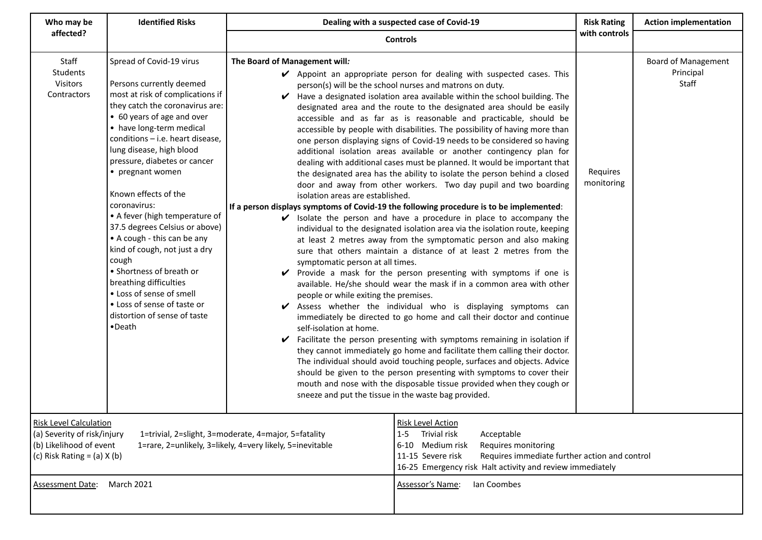| Who may be                                                                                                                                                                                                                                      | <b>Identified Risks</b>                                                                                                                                                                                                                                                                                                                                                                                                                                                                                                                                                                                                                                            | Dealing with a suspected case of Covid-19                                                                                                                                                                                                              |                                                                                                                                                                                                                                                                                                                                                                                                                                                                                                                                                                                                                                                                                                                                                                                                                                                                                                                                                                                                                                                                                                                                                                                                                                                                                                                                                                                                                                                                                                                                                                                                                                                                                                                                                                                                                                                                                                                        | <b>Risk Rating</b>     | <b>Action implementation</b>                     |
|-------------------------------------------------------------------------------------------------------------------------------------------------------------------------------------------------------------------------------------------------|--------------------------------------------------------------------------------------------------------------------------------------------------------------------------------------------------------------------------------------------------------------------------------------------------------------------------------------------------------------------------------------------------------------------------------------------------------------------------------------------------------------------------------------------------------------------------------------------------------------------------------------------------------------------|--------------------------------------------------------------------------------------------------------------------------------------------------------------------------------------------------------------------------------------------------------|------------------------------------------------------------------------------------------------------------------------------------------------------------------------------------------------------------------------------------------------------------------------------------------------------------------------------------------------------------------------------------------------------------------------------------------------------------------------------------------------------------------------------------------------------------------------------------------------------------------------------------------------------------------------------------------------------------------------------------------------------------------------------------------------------------------------------------------------------------------------------------------------------------------------------------------------------------------------------------------------------------------------------------------------------------------------------------------------------------------------------------------------------------------------------------------------------------------------------------------------------------------------------------------------------------------------------------------------------------------------------------------------------------------------------------------------------------------------------------------------------------------------------------------------------------------------------------------------------------------------------------------------------------------------------------------------------------------------------------------------------------------------------------------------------------------------------------------------------------------------------------------------------------------------|------------------------|--------------------------------------------------|
| affected?                                                                                                                                                                                                                                       |                                                                                                                                                                                                                                                                                                                                                                                                                                                                                                                                                                                                                                                                    |                                                                                                                                                                                                                                                        | <b>Controls</b>                                                                                                                                                                                                                                                                                                                                                                                                                                                                                                                                                                                                                                                                                                                                                                                                                                                                                                                                                                                                                                                                                                                                                                                                                                                                                                                                                                                                                                                                                                                                                                                                                                                                                                                                                                                                                                                                                                        | with controls          |                                                  |
| Staff<br>Students<br>Visitors<br>Contractors                                                                                                                                                                                                    | Spread of Covid-19 virus<br>Persons currently deemed<br>most at risk of complications if<br>they catch the coronavirus are:<br>• 60 years of age and over<br>• have long-term medical<br>conditions - i.e. heart disease,<br>lung disease, high blood<br>pressure, diabetes or cancer<br>• pregnant women<br>Known effects of the<br>coronavirus:<br>• A fever (high temperature of<br>37.5 degrees Celsius or above)<br>• A cough - this can be any<br>kind of cough, not just a dry<br>cough<br>• Shortness of breath or<br>breathing difficulties<br>• Loss of sense of smell<br>• Loss of sense of taste or<br>distortion of sense of taste<br>$\bullet$ Death | The Board of Management will:<br>isolation areas are established.<br>symptomatic person at all times.<br>people or while exiting the premises.<br>self-isolation at home.<br>sneeze and put the tissue in the waste bag provided.                      | ✔ Appoint an appropriate person for dealing with suspected cases. This<br>person(s) will be the school nurses and matrons on duty.<br>Have a designated isolation area available within the school building. The<br>designated area and the route to the designated area should be easily<br>accessible and as far as is reasonable and practicable, should be<br>accessible by people with disabilities. The possibility of having more than<br>one person displaying signs of Covid-19 needs to be considered so having<br>additional isolation areas available or another contingency plan for<br>dealing with additional cases must be planned. It would be important that<br>the designated area has the ability to isolate the person behind a closed<br>door and away from other workers. Two day pupil and two boarding<br>If a person displays symptoms of Covid-19 the following procedure is to be implemented:<br>$\checkmark$ Isolate the person and have a procedure in place to accompany the<br>individual to the designated isolation area via the isolation route, keeping<br>at least 2 metres away from the symptomatic person and also making<br>sure that others maintain a distance of at least 2 metres from the<br>Provide a mask for the person presenting with symptoms if one is<br>available. He/she should wear the mask if in a common area with other<br>Assess whether the individual who is displaying symptoms can<br>immediately be directed to go home and call their doctor and continue<br>Facilitate the person presenting with symptoms remaining in isolation if<br>they cannot immediately go home and facilitate them calling their doctor.<br>The individual should avoid touching people, surfaces and objects. Advice<br>should be given to the person presenting with symptoms to cover their<br>mouth and nose with the disposable tissue provided when they cough or | Requires<br>monitoring | <b>Board of Management</b><br>Principal<br>Staff |
| <b>Risk Level Calculation</b><br>(a) Severity of risk/injury<br>1=trivial, 2=slight, 3=moderate, 4=major, 5=fatality<br>(b) Likelihood of event<br>1=rare, 2=unlikely, 3=likely, 4=very likely, 5=inevitable<br>(c) Risk Rating = $(a)$ X $(b)$ |                                                                                                                                                                                                                                                                                                                                                                                                                                                                                                                                                                                                                                                                    | <b>Risk Level Action</b><br>Trivial risk<br>Acceptable<br>$1 - 5$<br>Medium risk<br>Requires monitoring<br>$6 - 10$<br>11-15 Severe risk<br>Requires immediate further action and control<br>16-25 Emergency risk Halt activity and review immediately |                                                                                                                                                                                                                                                                                                                                                                                                                                                                                                                                                                                                                                                                                                                                                                                                                                                                                                                                                                                                                                                                                                                                                                                                                                                                                                                                                                                                                                                                                                                                                                                                                                                                                                                                                                                                                                                                                                                        |                        |                                                  |
| <b>Assessment Date:</b>                                                                                                                                                                                                                         | <b>March 2021</b>                                                                                                                                                                                                                                                                                                                                                                                                                                                                                                                                                                                                                                                  |                                                                                                                                                                                                                                                        | Ian Coombes<br>Assessor's Name:                                                                                                                                                                                                                                                                                                                                                                                                                                                                                                                                                                                                                                                                                                                                                                                                                                                                                                                                                                                                                                                                                                                                                                                                                                                                                                                                                                                                                                                                                                                                                                                                                                                                                                                                                                                                                                                                                        |                        |                                                  |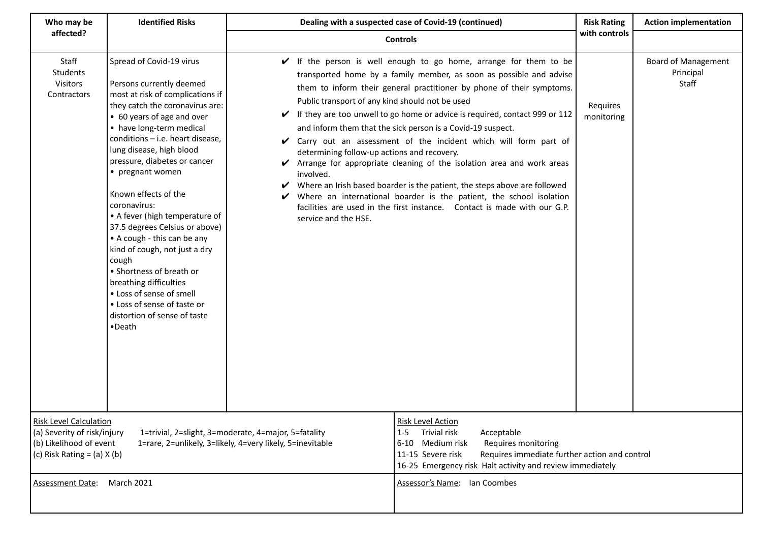| Who may be                                                                                                                                                                                                                                    | <b>Identified Risks</b>                                                                                                                                                                                                                                                                                                                                                                                                                                                                                                                                                                                                                                   | Dealing with a suspected case of Covid-19 (continued)                                                                                                                                                                                                  |                                                                                                                                                                                                                                                                                                                                                                                                                                                                                                                                                                                                                                                                                                                                             |                        | <b>Action implementation</b>                     |
|-----------------------------------------------------------------------------------------------------------------------------------------------------------------------------------------------------------------------------------------------|-----------------------------------------------------------------------------------------------------------------------------------------------------------------------------------------------------------------------------------------------------------------------------------------------------------------------------------------------------------------------------------------------------------------------------------------------------------------------------------------------------------------------------------------------------------------------------------------------------------------------------------------------------------|--------------------------------------------------------------------------------------------------------------------------------------------------------------------------------------------------------------------------------------------------------|---------------------------------------------------------------------------------------------------------------------------------------------------------------------------------------------------------------------------------------------------------------------------------------------------------------------------------------------------------------------------------------------------------------------------------------------------------------------------------------------------------------------------------------------------------------------------------------------------------------------------------------------------------------------------------------------------------------------------------------------|------------------------|--------------------------------------------------|
| affected?                                                                                                                                                                                                                                     |                                                                                                                                                                                                                                                                                                                                                                                                                                                                                                                                                                                                                                                           |                                                                                                                                                                                                                                                        | <b>Controls</b>                                                                                                                                                                                                                                                                                                                                                                                                                                                                                                                                                                                                                                                                                                                             | with controls          |                                                  |
| Staff<br>Students<br>Visitors<br>Contractors                                                                                                                                                                                                  | Spread of Covid-19 virus<br>Persons currently deemed<br>most at risk of complications if<br>they catch the coronavirus are:<br>• 60 years of age and over<br>• have long-term medical<br>conditions - i.e. heart disease,<br>lung disease, high blood<br>pressure, diabetes or cancer<br>• pregnant women<br>Known effects of the<br>coronavirus:<br>• A fever (high temperature of<br>37.5 degrees Celsius or above)<br>• A cough - this can be any<br>kind of cough, not just a dry<br>cough<br>• Shortness of breath or<br>breathing difficulties<br>• Loss of sense of smell<br>• Loss of sense of taste or<br>distortion of sense of taste<br>•Death | V<br>Public transport of any kind should not be used<br>V<br>determining follow-up actions and recovery.<br>V<br>involved.<br>V<br>V<br>service and the HSE.                                                                                           | If the person is well enough to go home, arrange for them to be<br>transported home by a family member, as soon as possible and advise<br>them to inform their general practitioner by phone of their symptoms.<br>If they are too unwell to go home or advice is required, contact 999 or 112<br>and inform them that the sick person is a Covid-19 suspect.<br>✔ Carry out an assessment of the incident which will form part of<br>Arrange for appropriate cleaning of the isolation area and work areas<br>Where an Irish based boarder is the patient, the steps above are followed<br>Where an international boarder is the patient, the school isolation<br>facilities are used in the first instance. Contact is made with our G.P. | Requires<br>monitoring | <b>Board of Management</b><br>Principal<br>Staff |
| <b>Risk Level Calculation</b><br>(a) Severity of risk/injury<br>1=trivial, 2=slight, 3=moderate, 4=major, 5=fatality<br>(b) Likelihood of event<br>1=rare, 2=unlikely, 3=likely, 4=very likely, 5=inevitable<br>(c) Risk Rating = (a) $X$ (b) |                                                                                                                                                                                                                                                                                                                                                                                                                                                                                                                                                                                                                                                           | <b>Risk Level Action</b><br>Trivial risk<br>$1 - 5$<br>Acceptable<br>Medium risk<br>Requires monitoring<br>$6 - 10$<br>11-15 Severe risk<br>Requires immediate further action and control<br>16-25 Emergency risk Halt activity and review immediately |                                                                                                                                                                                                                                                                                                                                                                                                                                                                                                                                                                                                                                                                                                                                             |                        |                                                  |
| <b>Assessment Date:</b>                                                                                                                                                                                                                       | March 2021                                                                                                                                                                                                                                                                                                                                                                                                                                                                                                                                                                                                                                                |                                                                                                                                                                                                                                                        | Assessor's Name: Ian Coombes                                                                                                                                                                                                                                                                                                                                                                                                                                                                                                                                                                                                                                                                                                                |                        |                                                  |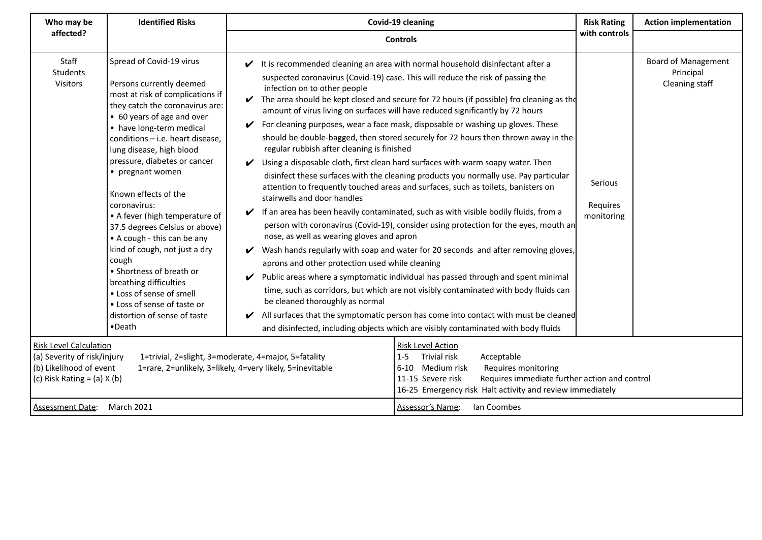| <b>Identified Risks</b><br>Who may be                                                                                                                            |                                                                                                                                                                                                                                                                                                                                                                                                                                                                                                                                                                                                                                                                    |                                                                                                                                                                                                                                                                                                                                                                             | Covid-19 cleaning                                                                                                                                                                                                                                                                                                                                                                                                                                                                                                                                                                                                                                                                                                                                                                                                                                                                                                                                                                                                                                                                                                                                                                                                                                                                                                                                                                                                                                                                                                                                                                                                                                                                                                                                                    | <b>Risk Rating</b><br>with controls | <b>Action implementation</b>                              |
|------------------------------------------------------------------------------------------------------------------------------------------------------------------|--------------------------------------------------------------------------------------------------------------------------------------------------------------------------------------------------------------------------------------------------------------------------------------------------------------------------------------------------------------------------------------------------------------------------------------------------------------------------------------------------------------------------------------------------------------------------------------------------------------------------------------------------------------------|-----------------------------------------------------------------------------------------------------------------------------------------------------------------------------------------------------------------------------------------------------------------------------------------------------------------------------------------------------------------------------|----------------------------------------------------------------------------------------------------------------------------------------------------------------------------------------------------------------------------------------------------------------------------------------------------------------------------------------------------------------------------------------------------------------------------------------------------------------------------------------------------------------------------------------------------------------------------------------------------------------------------------------------------------------------------------------------------------------------------------------------------------------------------------------------------------------------------------------------------------------------------------------------------------------------------------------------------------------------------------------------------------------------------------------------------------------------------------------------------------------------------------------------------------------------------------------------------------------------------------------------------------------------------------------------------------------------------------------------------------------------------------------------------------------------------------------------------------------------------------------------------------------------------------------------------------------------------------------------------------------------------------------------------------------------------------------------------------------------------------------------------------------------|-------------------------------------|-----------------------------------------------------------|
| affected?                                                                                                                                                        |                                                                                                                                                                                                                                                                                                                                                                                                                                                                                                                                                                                                                                                                    | <b>Controls</b>                                                                                                                                                                                                                                                                                                                                                             |                                                                                                                                                                                                                                                                                                                                                                                                                                                                                                                                                                                                                                                                                                                                                                                                                                                                                                                                                                                                                                                                                                                                                                                                                                                                                                                                                                                                                                                                                                                                                                                                                                                                                                                                                                      |                                     |                                                           |
| Staff<br><b>Students</b><br>Visitors<br><b>Risk Level Calculation</b><br>(a) Severity of risk/injury<br>(b) Likelihood of event<br>(c) Risk Rating = (a) $X$ (b) | Spread of Covid-19 virus<br>Persons currently deemed<br>most at risk of complications if<br>they catch the coronavirus are:<br>• 60 years of age and over<br>• have long-term medical<br>conditions - i.e. heart disease,<br>lung disease, high blood<br>pressure, diabetes or cancer<br>• pregnant women<br>Known effects of the<br>coronavirus:<br>• A fever (high temperature of<br>37.5 degrees Celsius or above)<br>• A cough - this can be any<br>kind of cough, not just a dry<br>cough<br>• Shortness of breath or<br>breathing difficulties<br>• Loss of sense of smell<br>• Loss of sense of taste or<br>distortion of sense of taste<br>$\bullet$ Death | infection on to other people<br>V<br>regular rubbish after cleaning is finished<br>stairwells and door handles<br>nose, as well as wearing gloves and apron<br>aprons and other protection used while cleaning<br>V<br>be cleaned thoroughly as normal<br>1=trivial, 2=slight, 3=moderate, 4=major, 5=fatality<br>1=rare, 2=unlikely, 3=likely, 4=very likely, 5=inevitable | $\checkmark$ It is recommended cleaning an area with normal household disinfectant after a<br>suspected coronavirus (Covid-19) case. This will reduce the risk of passing the<br>$\triangleright$ The area should be kept closed and secure for 72 hours (if possible) fro cleaning as the<br>amount of virus living on surfaces will have reduced significantly by 72 hours<br>For cleaning purposes, wear a face mask, disposable or washing up gloves. These<br>should be double-bagged, then stored securely for 72 hours then thrown away in the<br>$\checkmark$ Using a disposable cloth, first clean hard surfaces with warm soapy water. Then<br>disinfect these surfaces with the cleaning products you normally use. Pay particular<br>attention to frequently touched areas and surfaces, such as toilets, banisters on<br>$\checkmark$ If an area has been heavily contaminated, such as with visible bodily fluids, from a<br>person with coronavirus (Covid-19), consider using protection for the eyes, mouth an<br>$\checkmark$ Wash hands regularly with soap and water for 20 seconds and after removing gloves,<br>Public areas where a symptomatic individual has passed through and spent minimal<br>time, such as corridors, but which are not visibly contaminated with body fluids can<br>$\blacktriangleright$ All surfaces that the symptomatic person has come into contact with must be cleaned<br>and disinfected, including objects which are visibly contaminated with body fluids<br><b>Risk Level Action</b><br>Trivial risk<br>$1 - 5$<br>Acceptable<br>6-10 Medium risk<br>Requires monitoring<br>Requires immediate further action and control<br>11-15 Severe risk<br>16-25 Emergency risk Halt activity and review immediately | Serious<br>Requires<br>monitoring   | <b>Board of Management</b><br>Principal<br>Cleaning staff |
| <b>Assessment Date:</b>                                                                                                                                          | March 2021                                                                                                                                                                                                                                                                                                                                                                                                                                                                                                                                                                                                                                                         |                                                                                                                                                                                                                                                                                                                                                                             | Assessor's Name:<br>Ian Coombes                                                                                                                                                                                                                                                                                                                                                                                                                                                                                                                                                                                                                                                                                                                                                                                                                                                                                                                                                                                                                                                                                                                                                                                                                                                                                                                                                                                                                                                                                                                                                                                                                                                                                                                                      |                                     |                                                           |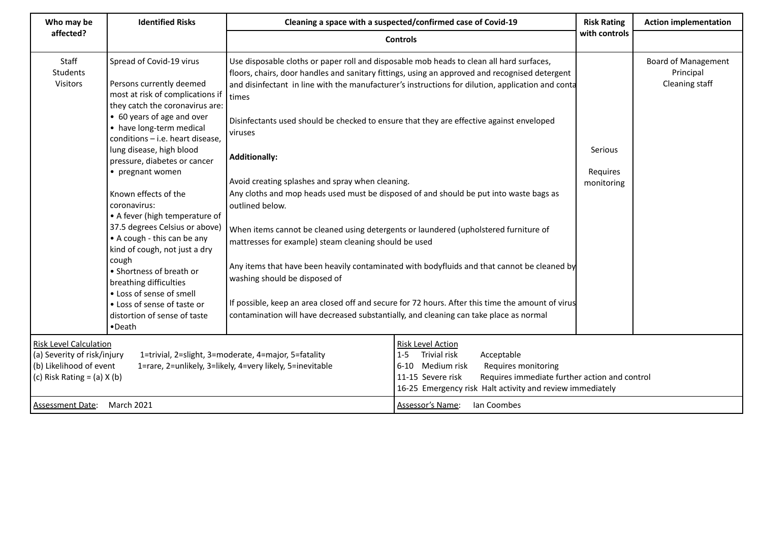| Who may be                                                                                                                                                                                                                                      | <b>Identified Risks</b>                                                                                                                                                                                                                                                                                                                                                                                                                                                                                                                                                                                                                                            | Cleaning a space with a suspected/confirmed case of Covid-19<br><b>Controls</b>                                                                                                                                                                                                                                                                                                                                                                                                                                                                                                     |                                                                                                                                                                                                                                                                                                                                                                                                                                                                                                   | <b>Risk Rating</b>                | <b>Action implementation</b>                              |
|-------------------------------------------------------------------------------------------------------------------------------------------------------------------------------------------------------------------------------------------------|--------------------------------------------------------------------------------------------------------------------------------------------------------------------------------------------------------------------------------------------------------------------------------------------------------------------------------------------------------------------------------------------------------------------------------------------------------------------------------------------------------------------------------------------------------------------------------------------------------------------------------------------------------------------|-------------------------------------------------------------------------------------------------------------------------------------------------------------------------------------------------------------------------------------------------------------------------------------------------------------------------------------------------------------------------------------------------------------------------------------------------------------------------------------------------------------------------------------------------------------------------------------|---------------------------------------------------------------------------------------------------------------------------------------------------------------------------------------------------------------------------------------------------------------------------------------------------------------------------------------------------------------------------------------------------------------------------------------------------------------------------------------------------|-----------------------------------|-----------------------------------------------------------|
| affected?                                                                                                                                                                                                                                       |                                                                                                                                                                                                                                                                                                                                                                                                                                                                                                                                                                                                                                                                    |                                                                                                                                                                                                                                                                                                                                                                                                                                                                                                                                                                                     |                                                                                                                                                                                                                                                                                                                                                                                                                                                                                                   | with controls                     |                                                           |
| Staff<br>Students<br>Visitors                                                                                                                                                                                                                   | Spread of Covid-19 virus<br>Persons currently deemed<br>most at risk of complications if<br>they catch the coronavirus are:<br>• 60 years of age and over<br>• have long-term medical<br>conditions - i.e. heart disease,<br>lung disease, high blood<br>pressure, diabetes or cancer<br>• pregnant women<br>Known effects of the<br>coronavirus:<br>• A fever (high temperature of<br>37.5 degrees Celsius or above)<br>• A cough - this can be any<br>kind of cough, not just a dry<br>cough<br>• Shortness of breath or<br>breathing difficulties<br>• Loss of sense of smell<br>• Loss of sense of taste or<br>distortion of sense of taste<br>$\bullet$ Death | Use disposable cloths or paper roll and disposable mob heads to clean all hard surfaces,<br>times<br>Disinfectants used should be checked to ensure that they are effective against enveloped<br>viruses<br><b>Additionally:</b><br>Avoid creating splashes and spray when cleaning.<br>outlined below.<br>When items cannot be cleaned using detergents or laundered (upholstered furniture of<br>mattresses for example) steam cleaning should be used<br>washing should be disposed of<br>contamination will have decreased substantially, and cleaning can take place as normal | floors, chairs, door handles and sanitary fittings, using an approved and recognised detergent<br>and disinfectant in line with the manufacturer's instructions for dilution, application and conta<br>Any cloths and mop heads used must be disposed of and should be put into waste bags as<br>Any items that have been heavily contaminated with bodyfluids and that cannot be cleaned by<br>If possible, keep an area closed off and secure for 72 hours. After this time the amount of virus | Serious<br>Requires<br>monitoring | <b>Board of Management</b><br>Principal<br>Cleaning staff |
| <b>Risk Level Calculation</b><br>(a) Severity of risk/injury<br>1=trivial, 2=slight, 3=moderate, 4=major, 5=fatality<br>(b) Likelihood of event<br>1=rare, 2=unlikely, 3=likely, 4=very likely, 5=inevitable<br>(c) Risk Rating = $(a)$ X $(b)$ |                                                                                                                                                                                                                                                                                                                                                                                                                                                                                                                                                                                                                                                                    | <b>Risk Level Action</b><br>Trivial risk<br>$1 - 5$<br>Acceptable<br>6-10 Medium risk<br>Requires monitoring<br>11-15 Severe risk<br>Requires immediate further action and control<br>16-25 Emergency risk Halt activity and review immediately                                                                                                                                                                                                                                                                                                                                     |                                                                                                                                                                                                                                                                                                                                                                                                                                                                                                   |                                   |                                                           |
| <b>Assessment Date:</b>                                                                                                                                                                                                                         | March 2021                                                                                                                                                                                                                                                                                                                                                                                                                                                                                                                                                                                                                                                         |                                                                                                                                                                                                                                                                                                                                                                                                                                                                                                                                                                                     | Assessor's Name:<br>Ian Coombes                                                                                                                                                                                                                                                                                                                                                                                                                                                                   |                                   |                                                           |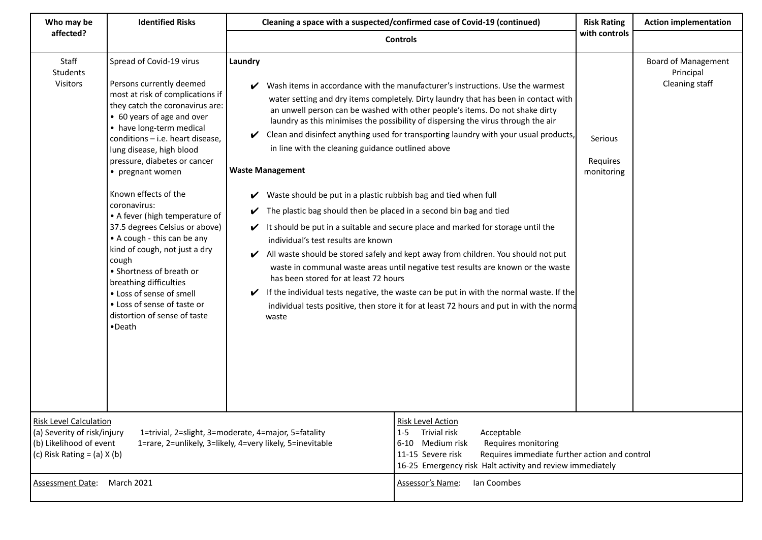| Who may be                                                                                                                                                                                                                                      | <b>Identified Risks</b>                                                                                                                                                                                                                                                                                                                                                                                                                                                                                                                                                                                                                                            | Cleaning a space with a suspected/confirmed case of Covid-19 (continued)                                                                                                                                                                                                                                                                                     |                                                                                                                                                                                                                                                                                                                                                                                                                                                                                                                                                                                                                                                                                                                                                                                                                                                                                        | <b>Risk Rating</b><br><b>Action implementation</b><br>with controls |                                                           |
|-------------------------------------------------------------------------------------------------------------------------------------------------------------------------------------------------------------------------------------------------|--------------------------------------------------------------------------------------------------------------------------------------------------------------------------------------------------------------------------------------------------------------------------------------------------------------------------------------------------------------------------------------------------------------------------------------------------------------------------------------------------------------------------------------------------------------------------------------------------------------------------------------------------------------------|--------------------------------------------------------------------------------------------------------------------------------------------------------------------------------------------------------------------------------------------------------------------------------------------------------------------------------------------------------------|----------------------------------------------------------------------------------------------------------------------------------------------------------------------------------------------------------------------------------------------------------------------------------------------------------------------------------------------------------------------------------------------------------------------------------------------------------------------------------------------------------------------------------------------------------------------------------------------------------------------------------------------------------------------------------------------------------------------------------------------------------------------------------------------------------------------------------------------------------------------------------------|---------------------------------------------------------------------|-----------------------------------------------------------|
| affected?                                                                                                                                                                                                                                       |                                                                                                                                                                                                                                                                                                                                                                                                                                                                                                                                                                                                                                                                    | <b>Controls</b>                                                                                                                                                                                                                                                                                                                                              |                                                                                                                                                                                                                                                                                                                                                                                                                                                                                                                                                                                                                                                                                                                                                                                                                                                                                        |                                                                     |                                                           |
| Staff<br>Students<br>Visitors                                                                                                                                                                                                                   | Spread of Covid-19 virus<br>Persons currently deemed<br>most at risk of complications if<br>they catch the coronavirus are:<br>• 60 years of age and over<br>• have long-term medical<br>conditions - i.e. heart disease,<br>lung disease, high blood<br>pressure, diabetes or cancer<br>• pregnant women<br>Known effects of the<br>coronavirus:<br>• A fever (high temperature of<br>37.5 degrees Celsius or above)<br>• A cough - this can be any<br>kind of cough, not just a dry<br>cough<br>• Shortness of breath or<br>breathing difficulties<br>• Loss of sense of smell<br>• Loss of sense of taste or<br>distortion of sense of taste<br>$\bullet$ Death | Laundry<br>V<br>V<br>in line with the cleaning guidance outlined above<br><b>Waste Management</b><br>Waste should be put in a plastic rubbish bag and tied when full<br>V<br>The plastic bag should then be placed in a second bin bag and tied<br>V<br>V<br>individual's test results are known<br>V<br>has been stored for at least 72 hours<br>V<br>waste | Wash items in accordance with the manufacturer's instructions. Use the warmest<br>water setting and dry items completely. Dirty laundry that has been in contact with<br>an unwell person can be washed with other people's items. Do not shake dirty<br>laundry as this minimises the possibility of dispersing the virus through the air<br>Clean and disinfect anything used for transporting laundry with your usual products,<br>It should be put in a suitable and secure place and marked for storage until the<br>All waste should be stored safely and kept away from children. You should not put<br>waste in communal waste areas until negative test results are known or the waste<br>If the individual tests negative, the waste can be put in with the normal waste. If the<br>individual tests positive, then store it for at least 72 hours and put in with the norma | Serious<br>Requires<br>monitoring                                   | <b>Board of Management</b><br>Principal<br>Cleaning staff |
| <b>Risk Level Calculation</b><br>(a) Severity of risk/injury<br>1=trivial, 2=slight, 3=moderate, 4=major, 5=fatality<br>(b) Likelihood of event<br>1=rare, 2=unlikely, 3=likely, 4=very likely, 5=inevitable<br>(c) Risk Rating = $(a)$ X $(b)$ |                                                                                                                                                                                                                                                                                                                                                                                                                                                                                                                                                                                                                                                                    | <b>Risk Level Action</b><br>Trivial risk<br>$1 - 5$<br>Acceptable<br>Medium risk<br>$6 - 10$<br>Requires monitoring<br>11-15 Severe risk<br>Requires immediate further action and control<br>16-25 Emergency risk Halt activity and review immediately                                                                                                       |                                                                                                                                                                                                                                                                                                                                                                                                                                                                                                                                                                                                                                                                                                                                                                                                                                                                                        |                                                                     |                                                           |
| <b>Assessment Date:</b>                                                                                                                                                                                                                         | <b>March 2021</b>                                                                                                                                                                                                                                                                                                                                                                                                                                                                                                                                                                                                                                                  |                                                                                                                                                                                                                                                                                                                                                              | Assessor's Name:<br>Ian Coombes                                                                                                                                                                                                                                                                                                                                                                                                                                                                                                                                                                                                                                                                                                                                                                                                                                                        |                                                                     |                                                           |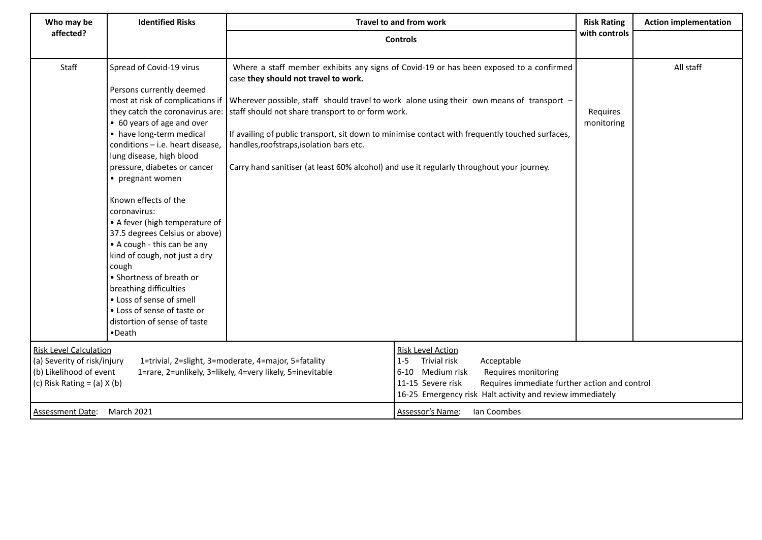| Who may be                                                                                                                                                                                                                                      | <b>Identified Risks</b>                                                                                                                                                                                                                                                                                                                                                                                                                                                                                                                                                                                                                                   | Travel to and from work                                                                                                                                                                                                                         |                                                                                                                                                                                                                                                                                        | <b>Risk Rating</b>     | <b>Action implementation</b> |
|-------------------------------------------------------------------------------------------------------------------------------------------------------------------------------------------------------------------------------------------------|-----------------------------------------------------------------------------------------------------------------------------------------------------------------------------------------------------------------------------------------------------------------------------------------------------------------------------------------------------------------------------------------------------------------------------------------------------------------------------------------------------------------------------------------------------------------------------------------------------------------------------------------------------------|-------------------------------------------------------------------------------------------------------------------------------------------------------------------------------------------------------------------------------------------------|----------------------------------------------------------------------------------------------------------------------------------------------------------------------------------------------------------------------------------------------------------------------------------------|------------------------|------------------------------|
| affected?                                                                                                                                                                                                                                       |                                                                                                                                                                                                                                                                                                                                                                                                                                                                                                                                                                                                                                                           |                                                                                                                                                                                                                                                 | <b>Controls</b>                                                                                                                                                                                                                                                                        | with controls          |                              |
| Staff                                                                                                                                                                                                                                           | Spread of Covid-19 virus<br>Persons currently deemed<br>most at risk of complications if<br>they catch the coronavirus are:<br>• 60 years of age and over<br>• have long-term medical<br>conditions - i.e. heart disease,<br>lung disease, high blood<br>pressure, diabetes or cancer<br>• pregnant women<br>Known effects of the<br>coronavirus:<br>• A fever (high temperature of<br>37.5 degrees Celsius or above)<br>• A cough - this can be any<br>kind of cough, not just a dry<br>cough<br>• Shortness of breath or<br>breathing difficulties<br>• Loss of sense of smell<br>• Loss of sense of taste or<br>distortion of sense of taste<br>•Death | case they should not travel to work.<br>staff should not share transport to or form work.<br>handles, roofstraps, isolation bars etc.<br>Carry hand sanitiser (at least 60% alcohol) and use it regularly throughout your journey.              | Where a staff member exhibits any signs of Covid-19 or has been exposed to a confirmed<br>Wherever possible, staff should travel to work alone using their own means of transport -<br>If availing of public transport, sit down to minimise contact with frequently touched surfaces, | Requires<br>monitoring | All staff                    |
| <b>Risk Level Calculation</b><br>(a) Severity of risk/injury<br>1=trivial, 2=slight, 3=moderate, 4=major, 5=fatality<br>(b) Likelihood of event<br>1=rare, 2=unlikely, 3=likely, 4=very likely, 5=inevitable<br>(c) Risk Rating = $(a)$ X $(b)$ |                                                                                                                                                                                                                                                                                                                                                                                                                                                                                                                                                                                                                                                           | <b>Risk Level Action</b><br>Trivial risk<br>$1 - 5$<br>Acceptable<br>6-10 Medium risk<br>Requires monitoring<br>11-15 Severe risk<br>Requires immediate further action and control<br>16-25 Emergency risk Halt activity and review immediately |                                                                                                                                                                                                                                                                                        |                        |                              |
| <b>Assessment Date:</b>                                                                                                                                                                                                                         | <b>March 2021</b>                                                                                                                                                                                                                                                                                                                                                                                                                                                                                                                                                                                                                                         |                                                                                                                                                                                                                                                 | Assessor's Name:<br>Ian Coombes                                                                                                                                                                                                                                                        |                        |                              |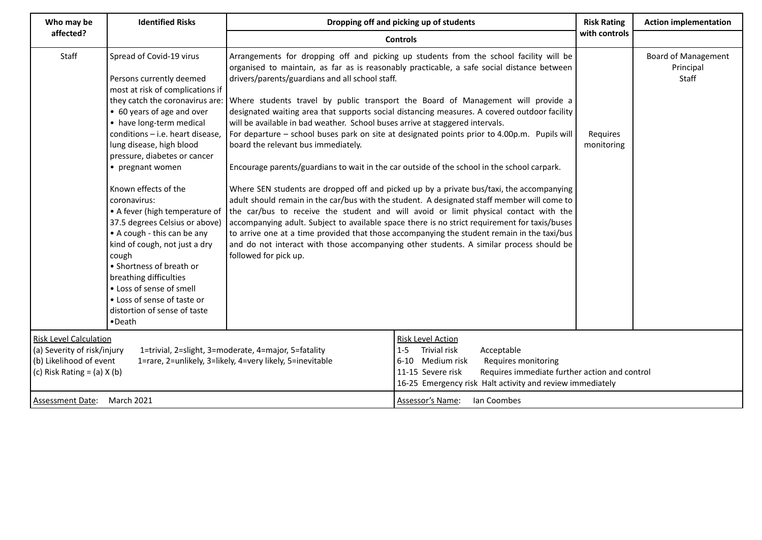| Who may be                                                                                                                                                                                                                                      | <b>Identified Risks</b>                                                                                                                                                                                                                                                                                                                                                                                                                                                                                                                                                                                                                                            | Dropping off and picking up of students                                                                                                                                                                                                                                                                                                                                                                                                                                                                                                                                                                                                                                                                                                                                                                                                                                                                                                                                                                                                                                                                                                                                                                                                                                                                                                                   |                                 | <b>Risk Rating</b><br>with controls | <b>Action implementation</b>                     |
|-------------------------------------------------------------------------------------------------------------------------------------------------------------------------------------------------------------------------------------------------|--------------------------------------------------------------------------------------------------------------------------------------------------------------------------------------------------------------------------------------------------------------------------------------------------------------------------------------------------------------------------------------------------------------------------------------------------------------------------------------------------------------------------------------------------------------------------------------------------------------------------------------------------------------------|-----------------------------------------------------------------------------------------------------------------------------------------------------------------------------------------------------------------------------------------------------------------------------------------------------------------------------------------------------------------------------------------------------------------------------------------------------------------------------------------------------------------------------------------------------------------------------------------------------------------------------------------------------------------------------------------------------------------------------------------------------------------------------------------------------------------------------------------------------------------------------------------------------------------------------------------------------------------------------------------------------------------------------------------------------------------------------------------------------------------------------------------------------------------------------------------------------------------------------------------------------------------------------------------------------------------------------------------------------------|---------------------------------|-------------------------------------|--------------------------------------------------|
| affected?                                                                                                                                                                                                                                       |                                                                                                                                                                                                                                                                                                                                                                                                                                                                                                                                                                                                                                                                    | <b>Controls</b>                                                                                                                                                                                                                                                                                                                                                                                                                                                                                                                                                                                                                                                                                                                                                                                                                                                                                                                                                                                                                                                                                                                                                                                                                                                                                                                                           |                                 |                                     |                                                  |
| Staff                                                                                                                                                                                                                                           | Spread of Covid-19 virus<br>Persons currently deemed<br>most at risk of complications if<br>they catch the coronavirus are:<br>• 60 years of age and over<br>• have long-term medical<br>conditions - i.e. heart disease,<br>lung disease, high blood<br>pressure, diabetes or cancer<br>• pregnant women<br>Known effects of the<br>coronavirus:<br>• A fever (high temperature of<br>37.5 degrees Celsius or above)<br>• A cough - this can be any<br>kind of cough, not just a dry<br>cough<br>• Shortness of breath or<br>breathing difficulties<br>• Loss of sense of smell<br>• Loss of sense of taste or<br>distortion of sense of taste<br>$\bullet$ Death | Arrangements for dropping off and picking up students from the school facility will be<br>organised to maintain, as far as is reasonably practicable, a safe social distance between<br>drivers/parents/guardians and all school staff.<br>Where students travel by public transport the Board of Management will provide a<br>designated waiting area that supports social distancing measures. A covered outdoor facility<br>will be available in bad weather. School buses arrive at staggered intervals.<br>For departure - school buses park on site at designated points prior to 4.00p.m. Pupils will<br>board the relevant bus immediately.<br>Encourage parents/guardians to wait in the car outside of the school in the school carpark.<br>Where SEN students are dropped off and picked up by a private bus/taxi, the accompanying<br>adult should remain in the car/bus with the student. A designated staff member will come to<br>the car/bus to receive the student and will avoid or limit physical contact with the<br>accompanying adult. Subject to available space there is no strict requirement for taxis/buses<br>to arrive one at a time provided that those accompanying the student remain in the taxi/bus<br>and do not interact with those accompanying other students. A similar process should be<br>followed for pick up. |                                 | Requires<br>monitoring              | <b>Board of Management</b><br>Principal<br>Staff |
| <b>Risk Level Calculation</b><br>(a) Severity of risk/injury<br>1=trivial, 2=slight, 3=moderate, 4=major, 5=fatality<br>(b) Likelihood of event<br>1=rare, 2=unlikely, 3=likely, 4=very likely, 5=inevitable<br>(c) Risk Rating = $(a)$ X $(b)$ |                                                                                                                                                                                                                                                                                                                                                                                                                                                                                                                                                                                                                                                                    | <b>Risk Level Action</b><br>Trivial risk<br>Acceptable<br>$1 - 5$<br>6-10 Medium risk<br>Requires monitoring<br>Requires immediate further action and control<br>11-15 Severe risk<br>16-25 Emergency risk Halt activity and review immediately                                                                                                                                                                                                                                                                                                                                                                                                                                                                                                                                                                                                                                                                                                                                                                                                                                                                                                                                                                                                                                                                                                           |                                 |                                     |                                                  |
| Assessment Date: March 2021                                                                                                                                                                                                                     |                                                                                                                                                                                                                                                                                                                                                                                                                                                                                                                                                                                                                                                                    |                                                                                                                                                                                                                                                                                                                                                                                                                                                                                                                                                                                                                                                                                                                                                                                                                                                                                                                                                                                                                                                                                                                                                                                                                                                                                                                                                           | Assessor's Name:<br>Ian Coombes |                                     |                                                  |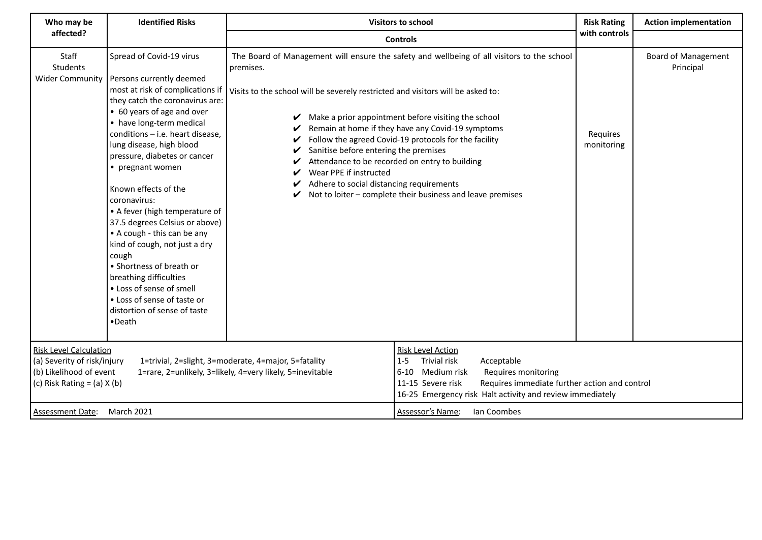| Who may be                                                                                                                                                                                                                                      | <b>Identified Risks</b>                                                                                                                                                                                                                                                                                                                                                                                                                                                                                                                                                                                                                                            | <b>Visitors to school</b><br><b>Controls</b>                                                                                                                                                                                                                                                                                                                                                                                                                                                                                                                                                                    |                                 |                        | <b>Action implementation</b>            |
|-------------------------------------------------------------------------------------------------------------------------------------------------------------------------------------------------------------------------------------------------|--------------------------------------------------------------------------------------------------------------------------------------------------------------------------------------------------------------------------------------------------------------------------------------------------------------------------------------------------------------------------------------------------------------------------------------------------------------------------------------------------------------------------------------------------------------------------------------------------------------------------------------------------------------------|-----------------------------------------------------------------------------------------------------------------------------------------------------------------------------------------------------------------------------------------------------------------------------------------------------------------------------------------------------------------------------------------------------------------------------------------------------------------------------------------------------------------------------------------------------------------------------------------------------------------|---------------------------------|------------------------|-----------------------------------------|
| affected?                                                                                                                                                                                                                                       |                                                                                                                                                                                                                                                                                                                                                                                                                                                                                                                                                                                                                                                                    |                                                                                                                                                                                                                                                                                                                                                                                                                                                                                                                                                                                                                 |                                 |                        |                                         |
| Staff<br>Students<br><b>Wider Community</b>                                                                                                                                                                                                     | Spread of Covid-19 virus<br>Persons currently deemed<br>most at risk of complications if<br>they catch the coronavirus are:<br>• 60 years of age and over<br>• have long-term medical<br>conditions - i.e. heart disease,<br>lung disease, high blood<br>pressure, diabetes or cancer<br>• pregnant women<br>Known effects of the<br>coronavirus:<br>• A fever (high temperature of<br>37.5 degrees Celsius or above)<br>• A cough - this can be any<br>kind of cough, not just a dry<br>cough<br>• Shortness of breath or<br>breathing difficulties<br>• Loss of sense of smell<br>• Loss of sense of taste or<br>distortion of sense of taste<br>$\bullet$ Death | with controls<br>The Board of Management will ensure the safety and wellbeing of all visitors to the school<br>premises.<br>Visits to the school will be severely restricted and visitors will be asked to:<br>Make a prior appointment before visiting the school<br>Remain at home if they have any Covid-19 symptoms<br>Follow the agreed Covid-19 protocols for the facility<br>Sanitise before entering the premises<br>Attendance to be recorded on entry to building<br>Wear PPE if instructed<br>Adhere to social distancing requirements<br>Not to loiter - complete their business and leave premises |                                 | Requires<br>monitoring | <b>Board of Management</b><br>Principal |
| <b>Risk Level Calculation</b><br>(a) Severity of risk/injury<br>1=trivial, 2=slight, 3=moderate, 4=major, 5=fatality<br>(b) Likelihood of event<br>1=rare, 2=unlikely, 3=likely, 4=very likely, 5=inevitable<br>(c) Risk Rating = $(a)$ X $(b)$ |                                                                                                                                                                                                                                                                                                                                                                                                                                                                                                                                                                                                                                                                    | <b>Risk Level Action</b><br>Trivial risk<br>Acceptable<br>$1-5$<br>6-10 Medium risk<br>Requires monitoring<br>Requires immediate further action and control<br>11-15 Severe risk<br>16-25 Emergency risk Halt activity and review immediately                                                                                                                                                                                                                                                                                                                                                                   |                                 |                        |                                         |
| <b>Assessment Date:</b>                                                                                                                                                                                                                         | <b>March 2021</b>                                                                                                                                                                                                                                                                                                                                                                                                                                                                                                                                                                                                                                                  |                                                                                                                                                                                                                                                                                                                                                                                                                                                                                                                                                                                                                 | Assessor's Name:<br>Ian Coombes |                        |                                         |